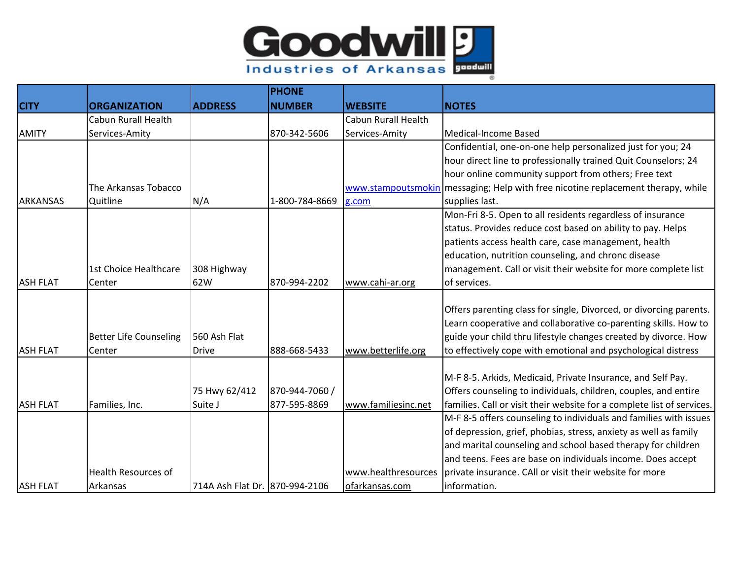

|                 |                               |                                | <b>PHONE</b>   |                            |                                                                                  |
|-----------------|-------------------------------|--------------------------------|----------------|----------------------------|----------------------------------------------------------------------------------|
| <b>CITY</b>     | <b>ORGANIZATION</b>           | <b>ADDRESS</b>                 | <b>INUMBER</b> | <b>WEBSITE</b>             | <b>NOTES</b>                                                                     |
|                 | <b>Cabun Rurall Health</b>    |                                |                | <b>Cabun Rurall Health</b> |                                                                                  |
| <b>AMITY</b>    | Services-Amity                |                                | 870-342-5606   | Services-Amity             | Medical-Income Based                                                             |
|                 |                               |                                |                |                            | Confidential, one-on-one help personalized just for you; 24                      |
|                 |                               |                                |                |                            | hour direct line to professionally trained Quit Counselors; 24                   |
|                 |                               |                                |                |                            | hour online community support from others; Free text                             |
|                 | The Arkansas Tobacco          |                                |                |                            | www.stampoutsmokin messaging; Help with free nicotine replacement therapy, while |
| <b>ARKANSAS</b> | Quitline                      | N/A                            | 1-800-784-8669 | g.com                      | supplies last.                                                                   |
|                 |                               |                                |                |                            | Mon-Fri 8-5. Open to all residents regardless of insurance                       |
|                 |                               |                                |                |                            | status. Provides reduce cost based on ability to pay. Helps                      |
|                 |                               |                                |                |                            | patients access health care, case management, health                             |
|                 |                               |                                |                |                            | education, nutrition counseling, and chronc disease                              |
|                 | 1st Choice Healthcare         | 308 Highway                    |                |                            | management. Call or visit their website for more complete list                   |
| <b>ASH FLAT</b> | Center                        | 62W                            | 870-994-2202   | www.cahi-ar.org            | of services.                                                                     |
|                 |                               |                                |                |                            |                                                                                  |
|                 |                               |                                |                |                            | Offers parenting class for single, Divorced, or divorcing parents.               |
|                 |                               |                                |                |                            | Learn cooperative and collaborative co-parenting skills. How to                  |
|                 | <b>Better Life Counseling</b> | 560 Ash Flat                   |                |                            | guide your child thru lifestyle changes created by divorce. How                  |
| <b>ASH FLAT</b> | Center                        | <b>Drive</b>                   | 888-668-5433   | www.betterlife.org         | to effectively cope with emotional and psychological distress                    |
|                 |                               |                                |                |                            |                                                                                  |
|                 |                               |                                |                |                            | M-F 8-5. Arkids, Medicaid, Private Insurance, and Self Pay.                      |
|                 |                               | 75 Hwy 62/412                  | 870-944-7060 / |                            | Offers counseling to individuals, children, couples, and entire                  |
| <b>ASH FLAT</b> | Families, Inc.                | Suite J                        | 877-595-8869   | www.familiesinc.net        | families. Call or visit their website for a complete list of services.           |
|                 |                               |                                |                |                            | M-F 8-5 offers counseling to individuals and families with issues                |
|                 |                               |                                |                |                            | of depression, grief, phobias, stress, anxiety as well as family                 |
|                 |                               |                                |                |                            | and marital counseling and school based therapy for children                     |
|                 |                               |                                |                |                            | and teens. Fees are base on individuals income. Does accept                      |
|                 | <b>Health Resources of</b>    |                                |                | www.healthresources        | private insurance. CAll or visit their website for more                          |
| <b>ASH FLAT</b> | Arkansas                      | 714A Ash Flat Dr. 870-994-2106 |                | ofarkansas.com             | information.                                                                     |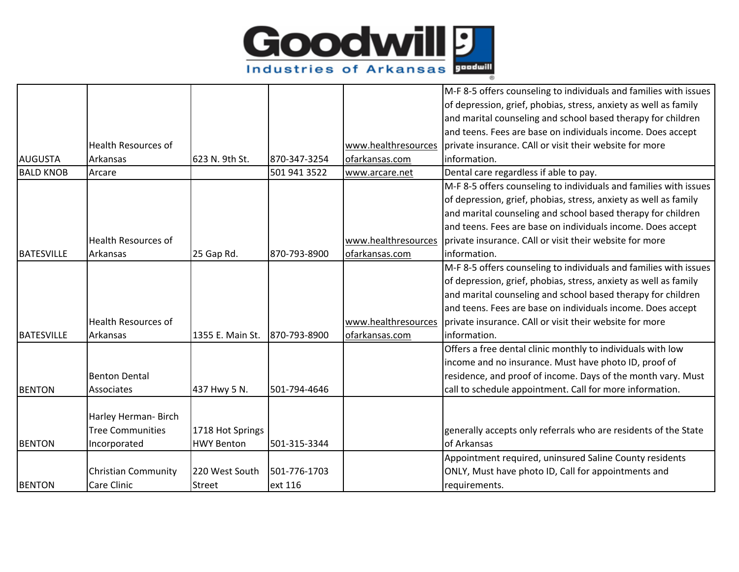

|                   |                            |                   |              |                     | M-F 8-5 offers counseling to individuals and families with issues |
|-------------------|----------------------------|-------------------|--------------|---------------------|-------------------------------------------------------------------|
|                   |                            |                   |              |                     | of depression, grief, phobias, stress, anxiety as well as family  |
|                   |                            |                   |              |                     | and marital counseling and school based therapy for children      |
|                   |                            |                   |              |                     | and teens. Fees are base on individuals income. Does accept       |
|                   | <b>Health Resources of</b> |                   |              | www.healthresources | private insurance. CAll or visit their website for more           |
| <b>AUGUSTA</b>    | Arkansas                   | 623 N. 9th St.    | 870-347-3254 | ofarkansas.com      | information.                                                      |
| <b>BALD KNOB</b>  | Arcare                     |                   | 501 941 3522 | www.arcare.net      | Dental care regardless if able to pay.                            |
|                   |                            |                   |              |                     | M-F 8-5 offers counseling to individuals and families with issues |
|                   |                            |                   |              |                     | of depression, grief, phobias, stress, anxiety as well as family  |
|                   |                            |                   |              |                     | and marital counseling and school based therapy for children      |
|                   |                            |                   |              |                     | and teens. Fees are base on individuals income. Does accept       |
|                   | <b>Health Resources of</b> |                   |              | www.healthresources | private insurance. CAll or visit their website for more           |
| <b>BATESVILLE</b> | Arkansas                   | 25 Gap Rd.        | 870-793-8900 | ofarkansas.com      | information.                                                      |
|                   |                            |                   |              |                     | M-F 8-5 offers counseling to individuals and families with issues |
|                   |                            |                   |              |                     | of depression, grief, phobias, stress, anxiety as well as family  |
|                   |                            |                   |              |                     | and marital counseling and school based therapy for children      |
|                   |                            |                   |              |                     | and teens. Fees are base on individuals income. Does accept       |
|                   | Health Resources of        |                   |              | www.healthresources | private insurance. CAll or visit their website for more           |
| <b>BATESVILLE</b> | Arkansas                   | 1355 E. Main St.  | 870-793-8900 | ofarkansas.com      | information.                                                      |
|                   |                            |                   |              |                     | Offers a free dental clinic monthly to individuals with low       |
|                   |                            |                   |              |                     | income and no insurance. Must have photo ID, proof of             |
|                   | <b>Benton Dental</b>       |                   |              |                     | residence, and proof of income. Days of the month vary. Must      |
| <b>BENTON</b>     | Associates                 | 437 Hwy 5 N.      | 501-794-4646 |                     | call to schedule appointment. Call for more information.          |
|                   |                            |                   |              |                     |                                                                   |
|                   | Harley Herman- Birch       |                   |              |                     |                                                                   |
|                   | <b>Tree Communities</b>    | 1718 Hot Springs  |              |                     | generally accepts only referrals who are residents of the State   |
| <b>BENTON</b>     | Incorporated               | <b>HWY Benton</b> | 501-315-3344 |                     | of Arkansas                                                       |
|                   |                            |                   |              |                     | Appointment required, uninsured Saline County residents           |
|                   | <b>Christian Community</b> | 220 West South    | 501-776-1703 |                     | ONLY, Must have photo ID, Call for appointments and               |
| <b>BENTON</b>     | Care Clinic                | Street            | ext 116      |                     | requirements.                                                     |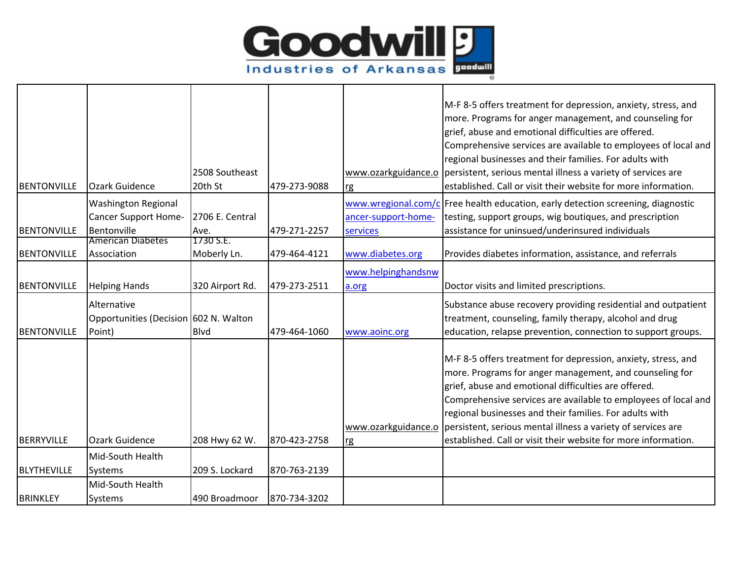

| <b>BENTONVILLE</b> | Ozark Guidence                                                    | 2508 Southeast<br>20th St | 479-273-9088 | www.ozarkguidance.o<br>rg       | M-F 8-5 offers treatment for depression, anxiety, stress, and<br>more. Programs for anger management, and counseling for<br>grief, abuse and emotional difficulties are offered.<br>Comprehensive services are available to employees of local and<br>regional businesses and their families. For adults with<br>persistent, serious mental illness a variety of services are<br>established. Call or visit their website for more information.                     |
|--------------------|-------------------------------------------------------------------|---------------------------|--------------|---------------------------------|---------------------------------------------------------------------------------------------------------------------------------------------------------------------------------------------------------------------------------------------------------------------------------------------------------------------------------------------------------------------------------------------------------------------------------------------------------------------|
| BENTONVILLE        | <b>Washington Regional</b><br>Cancer Support Home-<br>Bentonville | 2706 E. Central<br>Ave.   | 479-271-2257 | ancer-support-home-<br>services | www.wregional.com/c Free health education, early detection screening, diagnostic<br>testing, support groups, wig boutiques, and prescription<br>assistance for uninsued/underinsured individuals                                                                                                                                                                                                                                                                    |
| <b>BENTONVILLE</b> | <b>American Diabetes</b><br>Association                           | 1730 S.E.<br>Moberly Ln.  | 479-464-4121 | www.diabetes.org                | Provides diabetes information, assistance, and referrals                                                                                                                                                                                                                                                                                                                                                                                                            |
| <b>BENTONVILLE</b> | <b>Helping Hands</b>                                              | 320 Airport Rd.           | 479-273-2511 | www.helpinghandsnw<br>a.org     | Doctor visits and limited prescriptions.                                                                                                                                                                                                                                                                                                                                                                                                                            |
| <b>BENTONVILLE</b> | Alternative<br>Opportunities (Decision 602 N. Walton<br>Point)    | <b>Blvd</b>               | 479-464-1060 | www.aoinc.org                   | Substance abuse recovery providing residential and outpatient<br>treatment, counseling, family therapy, alcohol and drug<br>education, relapse prevention, connection to support groups.                                                                                                                                                                                                                                                                            |
| <b>BERRYVILLE</b>  | <b>Ozark Guidence</b>                                             | 208 Hwy 62 W.             | 870-423-2758 | rg                              | M-F 8-5 offers treatment for depression, anxiety, stress, and<br>more. Programs for anger management, and counseling for<br>grief, abuse and emotional difficulties are offered.<br>Comprehensive services are available to employees of local and<br>regional businesses and their families. For adults with<br>www.ozarkguidance.o persistent, serious mental illness a variety of services are<br>established. Call or visit their website for more information. |
|                    | Mid-South Health                                                  |                           |              |                                 |                                                                                                                                                                                                                                                                                                                                                                                                                                                                     |
| <b>BLYTHEVILLE</b> | Systems                                                           | 209 S. Lockard            | 870-763-2139 |                                 |                                                                                                                                                                                                                                                                                                                                                                                                                                                                     |
| <b>BRINKLEY</b>    | Mid-South Health<br>Systems                                       | 490 Broadmoor             | 870-734-3202 |                                 |                                                                                                                                                                                                                                                                                                                                                                                                                                                                     |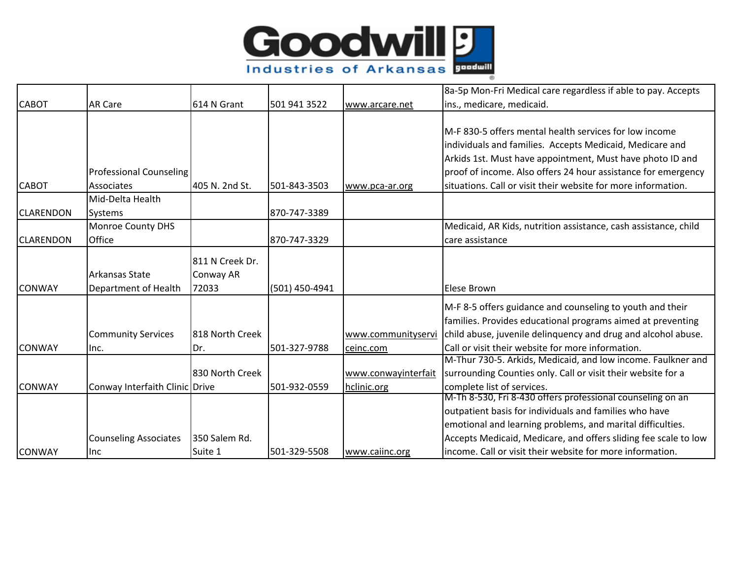

|                  |                                |                 |                |                     | 8a-5p Mon-Fri Medical care regardless if able to pay. Accepts   |
|------------------|--------------------------------|-----------------|----------------|---------------------|-----------------------------------------------------------------|
| <b>CABOT</b>     | <b>AR Care</b>                 | 614 N Grant     | 501 941 3522   | www.arcare.net      | ins., medicare, medicaid.                                       |
|                  |                                |                 |                |                     |                                                                 |
|                  |                                |                 |                |                     | M-F 830-5 offers mental health services for low income          |
|                  |                                |                 |                |                     | individuals and families. Accepts Medicaid, Medicare and        |
|                  |                                |                 |                |                     | Arkids 1st. Must have appointment, Must have photo ID and       |
|                  | <b>Professional Counseling</b> |                 |                |                     | proof of income. Also offers 24 hour assistance for emergency   |
| <b>CABOT</b>     | Associates                     | 405 N. 2nd St.  | 501-843-3503   | www.pca-ar.org      | situations. Call or visit their website for more information.   |
|                  | Mid-Delta Health               |                 |                |                     |                                                                 |
| <b>CLARENDON</b> | Systems                        |                 | 870-747-3389   |                     |                                                                 |
|                  | <b>Monroe County DHS</b>       |                 |                |                     | Medicaid, AR Kids, nutrition assistance, cash assistance, child |
| <b>CLARENDON</b> | Office                         |                 | 870-747-3329   |                     | care assistance                                                 |
|                  |                                | 811 N Creek Dr. |                |                     |                                                                 |
|                  | Arkansas State                 |                 |                |                     |                                                                 |
| <b>CONWAY</b>    |                                | Conway AR       |                |                     |                                                                 |
|                  | Department of Health           | 72033           | (501) 450-4941 |                     | Elese Brown                                                     |
|                  |                                |                 |                |                     | M-F 8-5 offers guidance and counseling to youth and their       |
|                  |                                |                 |                |                     | families. Provides educational programs aimed at preventing     |
|                  | <b>Community Services</b>      | 818 North Creek |                | www.communityservi  | child abuse, juvenile delinquency and drug and alcohol abuse.   |
| <b>CONWAY</b>    | Inc.                           | Dr.             | 501-327-9788   | ceinc.com           | Call or visit their website for more information.               |
|                  |                                |                 |                |                     | M-Thur 730-5. Arkids, Medicaid, and low income. Faulkner and    |
|                  |                                | 830 North Creek |                | www.conwayinterfait | surrounding Counties only. Call or visit their website for a    |
| <b>CONWAY</b>    | Conway Interfaith Clinic Drive |                 | 501-932-0559   | hclinic.org         | complete list of services.                                      |
|                  |                                |                 |                |                     | M-Th 8-530, Fri 8-430 offers professional counseling on an      |
|                  |                                |                 |                |                     | outpatient basis for individuals and families who have          |
|                  |                                |                 |                |                     | emotional and learning problems, and marital difficulties.      |
|                  | <b>Counseling Associates</b>   | 350 Salem Rd.   |                |                     | Accepts Medicaid, Medicare, and offers sliding fee scale to low |
| <b>CONWAY</b>    | Inc                            | Suite 1         | 501-329-5508   | www.caiinc.org      | income. Call or visit their website for more information.       |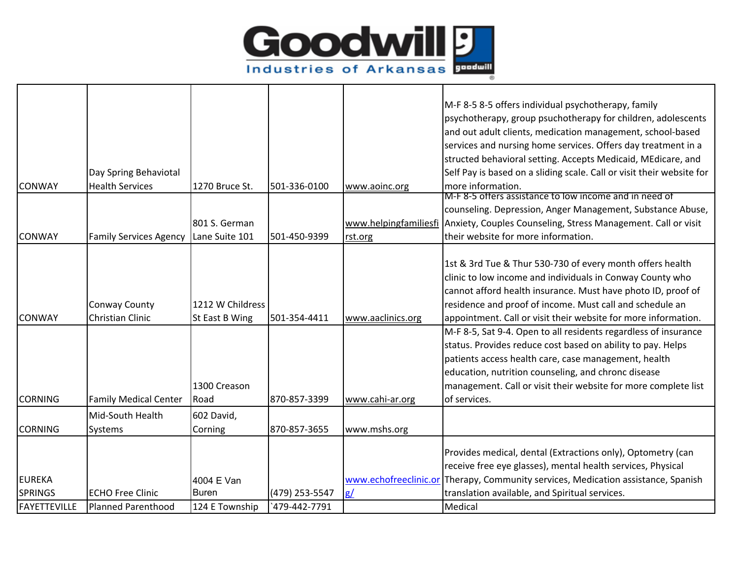

|                |                               |                  |                |                   | M-F 8-5 8-5 offers individual psychotherapy, family                                 |
|----------------|-------------------------------|------------------|----------------|-------------------|-------------------------------------------------------------------------------------|
|                |                               |                  |                |                   | psychotherapy, group psuchotherapy for children, adolescents                        |
|                |                               |                  |                |                   | and out adult clients, medication management, school-based                          |
|                |                               |                  |                |                   | services and nursing home services. Offers day treatment in a                       |
|                |                               |                  |                |                   | structed behavioral setting. Accepts Medicaid, MEdicare, and                        |
|                | Day Spring Behaviotal         |                  |                |                   | Self Pay is based on a sliding scale. Call or visit their website for               |
| <b>CONWAY</b>  | <b>Health Services</b>        | 1270 Bruce St.   | 501-336-0100   | www.aoinc.org     | more information.                                                                   |
|                |                               |                  |                |                   | M-F 8-5 offers assistance to low income and in need of                              |
|                |                               |                  |                |                   | counseling. Depression, Anger Management, Substance Abuse,                          |
|                |                               | 801 S. German    |                |                   | www.helpingfamiliesfi Anxiety, Couples Counseling, Stress Management. Call or visit |
| <b>CONWAY</b>  | <b>Family Services Agency</b> | Lane Suite 101   | 501-450-9399   | rst.org           | their website for more information.                                                 |
|                |                               |                  |                |                   |                                                                                     |
|                |                               |                  |                |                   | 1st & 3rd Tue & Thur 530-730 of every month offers health                           |
|                |                               |                  |                |                   | clinic to low income and individuals in Conway County who                           |
|                |                               |                  |                |                   | cannot afford health insurance. Must have photo ID, proof of                        |
|                | <b>Conway County</b>          | 1212 W Childress |                |                   | residence and proof of income. Must call and schedule an                            |
| <b>CONWAY</b>  | Christian Clinic              | St East B Wing   | 501-354-4411   | www.aaclinics.org | appointment. Call or visit their website for more information.                      |
|                |                               |                  |                |                   | M-F 8-5, Sat 9-4. Open to all residents regardless of insurance                     |
|                |                               |                  |                |                   | status. Provides reduce cost based on ability to pay. Helps                         |
|                |                               |                  |                |                   | patients access health care, case management, health                                |
|                |                               |                  |                |                   | education, nutrition counseling, and chronc disease                                 |
|                |                               | 1300 Creason     |                |                   | management. Call or visit their website for more complete list                      |
| <b>CORNING</b> | <b>Family Medical Center</b>  | Road             | 870-857-3399   | www.cahi-ar.org   | of services.                                                                        |
|                | Mid-South Health              | 602 David,       |                |                   |                                                                                     |
| <b>CORNING</b> | <b>Systems</b>                | Corning          | 870-857-3655   | www.mshs.org      |                                                                                     |
|                |                               |                  |                |                   |                                                                                     |
|                |                               |                  |                |                   | Provides medical, dental (Extractions only), Optometry (can                         |
|                |                               |                  |                |                   | receive free eye glasses), mental health services, Physical                         |
| <b>EUREKA</b>  |                               | 4004 E Van       |                |                   | www.echofreeclinic.or Therapy, Community services, Medication assistance, Spanish   |
| <b>SPRINGS</b> | <b>ECHO Free Clinic</b>       | Buren            | (479) 253-5547 | g/                | translation available, and Spiritual services.                                      |
| FAYETTEVILLE   | <b>Planned Parenthood</b>     | 124 E Township   | 479-442-7791   |                   | Medical                                                                             |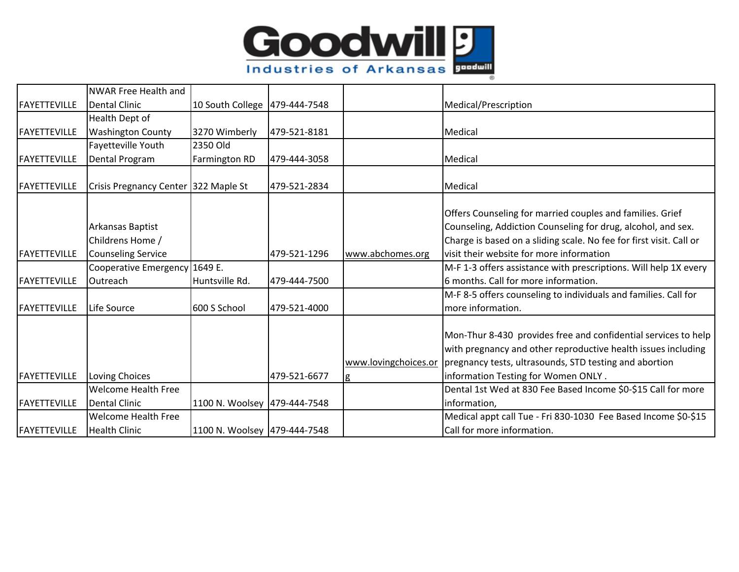

|                     | <b>NWAR Free Health and</b>          |                                 |              |                           |                                                                                                                                                                                                                                  |
|---------------------|--------------------------------------|---------------------------------|--------------|---------------------------|----------------------------------------------------------------------------------------------------------------------------------------------------------------------------------------------------------------------------------|
| <b>FAYETTEVILLE</b> | <b>Dental Clinic</b>                 | 10 South College   479-444-7548 |              |                           | Medical/Prescription                                                                                                                                                                                                             |
|                     | Health Dept of                       |                                 |              |                           |                                                                                                                                                                                                                                  |
| <b>FAYETTEVILLE</b> | <b>Washington County</b>             | 3270 Wimberly                   | 479-521-8181 |                           | Medical                                                                                                                                                                                                                          |
|                     | Fayetteville Youth                   | 2350 Old                        |              |                           |                                                                                                                                                                                                                                  |
| FAYETTEVILLE        | Dental Program                       | Farmington RD                   | 479-444-3058 |                           | Medical                                                                                                                                                                                                                          |
|                     |                                      |                                 |              |                           |                                                                                                                                                                                                                                  |
| FAYETTEVILLE        | Crisis Pregnancy Center 322 Maple St |                                 | 479-521-2834 |                           | Medical                                                                                                                                                                                                                          |
|                     | Arkansas Baptist<br>Childrens Home / |                                 |              |                           | Offers Counseling for married couples and families. Grief<br>Counseling, Addiction Counseling for drug, alcohol, and sex.<br>Charge is based on a sliding scale. No fee for first visit. Call or                                 |
| <b>FAYETTEVILLE</b> | <b>Counseling Service</b>            |                                 | 479-521-1296 | www.abchomes.org          | lvisit their website for more information                                                                                                                                                                                        |
|                     | Cooperative Emergency 1649 E.        |                                 |              |                           | M-F 1-3 offers assistance with prescriptions. Will help 1X every                                                                                                                                                                 |
| FAYETTEVILLE        | Outreach                             | Huntsville Rd.                  | 479-444-7500 |                           | 6 months. Call for more information.                                                                                                                                                                                             |
| <b>FAYETTEVILLE</b> | Life Source                          | 600 S School                    | 479-521-4000 |                           | M-F 8-5 offers counseling to individuals and families. Call for<br>more information.                                                                                                                                             |
| FAYETTEVILLE        | Loving Choices                       |                                 | 479-521-6677 | www.lovingchoices.or<br>g | Mon-Thur 8-430 provides free and confidential services to help<br>with pregnancy and other reproductive health issues including<br>pregnancy tests, ultrasounds, STD testing and abortion<br>information Testing for Women ONLY. |
|                     | <b>Welcome Health Free</b>           |                                 |              |                           | Dental 1st Wed at 830 Fee Based Income \$0-\$15 Call for more                                                                                                                                                                    |
| <b>FAYETTEVILLE</b> | <b>Dental Clinic</b>                 | 1100 N. Woolsey 479-444-7548    |              |                           | information,                                                                                                                                                                                                                     |
|                     | <b>Welcome Health Free</b>           |                                 |              |                           | Medical appt call Tue - Fri 830-1030 Fee Based Income \$0-\$15                                                                                                                                                                   |
| FAYETTEVILLE        | <b>Health Clinic</b>                 | 1100 N. Woolsey 479-444-7548    |              |                           | Call for more information.                                                                                                                                                                                                       |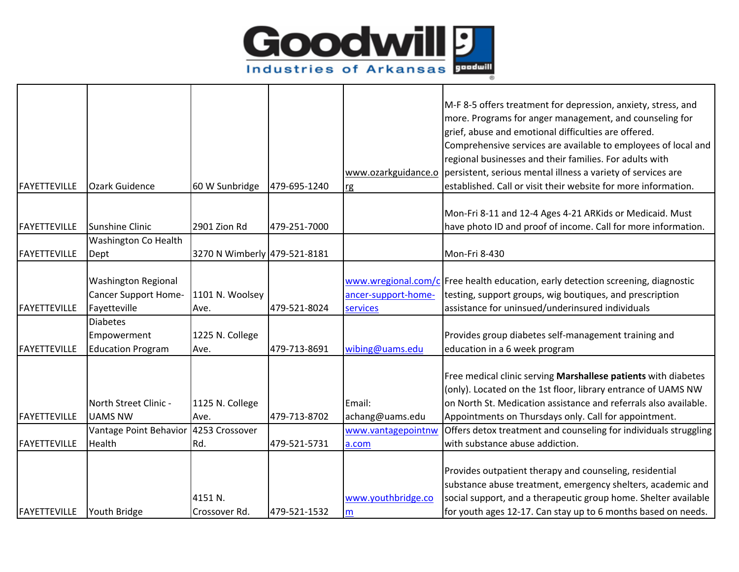

|                     |                                       |                              |              |                     | M-F 8-5 offers treatment for depression, anxiety, stress, and                    |
|---------------------|---------------------------------------|------------------------------|--------------|---------------------|----------------------------------------------------------------------------------|
|                     |                                       |                              |              |                     | more. Programs for anger management, and counseling for                          |
|                     |                                       |                              |              |                     | grief, abuse and emotional difficulties are offered.                             |
|                     |                                       |                              |              |                     | Comprehensive services are available to employees of local and                   |
|                     |                                       |                              |              |                     | regional businesses and their families. For adults with                          |
|                     |                                       |                              |              |                     | www.ozarkguidance.o persistent, serious mental illness a variety of services are |
| FAYETTEVILLE        | <b>Ozark Guidence</b>                 | 60 W Sunbridge               | 479-695-1240 | rg                  | established. Call or visit their website for more information.                   |
|                     |                                       |                              |              |                     |                                                                                  |
|                     |                                       |                              |              |                     | Mon-Fri 8-11 and 12-4 Ages 4-21 ARKids or Medicaid. Must                         |
| FAYETTEVILLE        | Sunshine Clinic                       | 2901 Zion Rd                 | 479-251-7000 |                     | have photo ID and proof of income. Call for more information.                    |
|                     | <b>Washington Co Health</b>           |                              |              |                     |                                                                                  |
| <b>FAYETTEVILLE</b> | Dept                                  | 3270 N Wimberly 479-521-8181 |              |                     | Mon-Fri 8-430                                                                    |
|                     | <b>Washington Regional</b>            |                              |              |                     | www.wregional.com/c Free health education, early detection screening, diagnostic |
|                     | <b>Cancer Support Home-</b>           | 1101 N. Woolsey              |              | ancer-support-home- | testing, support groups, wig boutiques, and prescription                         |
| <b>FAYETTEVILLE</b> | Fayetteville                          | Ave.                         | 479-521-8024 | services            | assistance for uninsued/underinsured individuals                                 |
|                     | <b>Diabetes</b>                       |                              |              |                     |                                                                                  |
|                     | Empowerment                           | 1225 N. College              |              |                     | Provides group diabetes self-management training and                             |
| <b>FAYETTEVILLE</b> | <b>Education Program</b>              | Ave.                         | 479-713-8691 | wibing@uams.edu     | education in a 6 week program                                                    |
|                     |                                       |                              |              |                     |                                                                                  |
|                     |                                       |                              |              |                     | Free medical clinic serving Marshallese patients with diabetes                   |
|                     |                                       |                              |              |                     | (only). Located on the 1st floor, library entrance of UAMS NW                    |
|                     | North Street Clinic -                 | 1125 N. College              |              | Email:              | on North St. Medication assistance and referrals also available.                 |
| <b>FAYETTEVILLE</b> | <b>UAMS NW</b>                        | Ave.                         | 479-713-8702 | achang@uams.edu     | Appointments on Thursdays only. Call for appointment.                            |
|                     | Vantage Point Behavior 4253 Crossover |                              |              | www.vantagepointnw  | Offers detox treatment and counseling for individuals struggling                 |
| <b>FAYETTEVILLE</b> | Health                                | Rd.                          | 479-521-5731 | a.com               | with substance abuse addiction.                                                  |
|                     |                                       |                              |              |                     |                                                                                  |
|                     |                                       |                              |              |                     | Provides outpatient therapy and counseling, residential                          |
|                     |                                       |                              |              |                     | substance abuse treatment, emergency shelters, academic and                      |
|                     |                                       | 4151 N.                      |              | www.youthbridge.co  | social support, and a therapeutic group home. Shelter available                  |
| FAYETTEVILLE        | Youth Bridge                          | Crossover Rd.                | 479-521-1532 | m                   | for youth ages 12-17. Can stay up to 6 months based on needs.                    |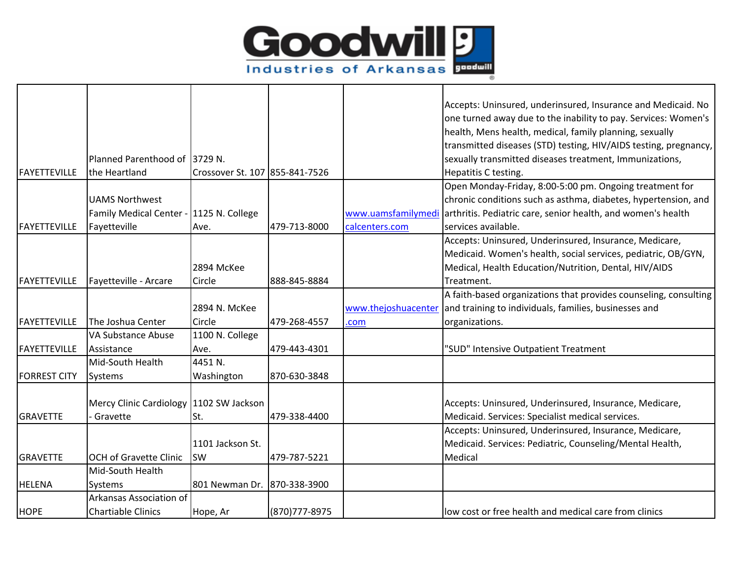

|                     |                                         |                                |                |                     | Accepts: Uninsured, underinsured, Insurance and Medicaid. No                    |
|---------------------|-----------------------------------------|--------------------------------|----------------|---------------------|---------------------------------------------------------------------------------|
|                     |                                         |                                |                |                     | one turned away due to the inability to pay. Services: Women's                  |
|                     |                                         |                                |                |                     | health, Mens health, medical, family planning, sexually                         |
|                     |                                         |                                |                |                     | transmitted diseases (STD) testing, HIV/AIDS testing, pregnancy,                |
|                     | Planned Parenthood of 3729 N.           |                                |                |                     | sexually transmitted diseases treatment, Immunizations,                         |
| <b>FAYETTEVILLE</b> | the Heartland                           | Crossover St. 107 855-841-7526 |                |                     | Hepatitis C testing.                                                            |
|                     |                                         |                                |                |                     | Open Monday-Friday, 8:00-5:00 pm. Ongoing treatment for                         |
|                     | <b>UAMS Northwest</b>                   |                                |                |                     | chronic conditions such as asthma, diabetes, hypertension, and                  |
|                     | Family Medical Center - 1125 N. College |                                |                |                     | www.uamsfamilymedi arthritis. Pediatric care, senior health, and women's health |
| FAYETTEVILLE        | Fayetteville                            | Ave.                           | 479-713-8000   | calcenters.com      | services available.                                                             |
|                     |                                         |                                |                |                     | Accepts: Uninsured, Underinsured, Insurance, Medicare,                          |
|                     |                                         |                                |                |                     | Medicaid. Women's health, social services, pediatric, OB/GYN,                   |
|                     |                                         | 2894 McKee                     |                |                     | Medical, Health Education/Nutrition, Dental, HIV/AIDS                           |
| <b>FAYETTEVILLE</b> | Fayetteville - Arcare                   | Circle                         | 888-845-8884   |                     | Treatment.                                                                      |
|                     |                                         |                                |                |                     | A faith-based organizations that provides counseling, consulting                |
|                     |                                         | 2894 N. McKee                  |                | www.thejoshuacenter | and training to individuals, families, businesses and                           |
| <b>FAYETTEVILLE</b> | The Joshua Center                       | Circle                         | 479-268-4557   | .com                | organizations.                                                                  |
|                     | VA Substance Abuse                      | 1100 N. College                |                |                     |                                                                                 |
| <b>FAYETTEVILLE</b> | Assistance                              | Ave.                           | 479-443-4301   |                     | 'SUD" Intensive Outpatient Treatment                                            |
|                     | Mid-South Health                        | 4451 N.                        |                |                     |                                                                                 |
| <b>FORREST CITY</b> | <b>Systems</b>                          | Washington                     | 870-630-3848   |                     |                                                                                 |
|                     |                                         |                                |                |                     |                                                                                 |
|                     | Mercy Clinic Cardiology 1102 SW Jackson |                                |                |                     | Accepts: Uninsured, Underinsured, Insurance, Medicare,                          |
| <b>GRAVETTE</b>     | Gravette                                | St.                            | 479-338-4400   |                     | Medicaid. Services: Specialist medical services.                                |
|                     |                                         |                                |                |                     | Accepts: Uninsured, Underinsured, Insurance, Medicare,                          |
|                     |                                         | 1101 Jackson St.               |                |                     | Medicaid. Services: Pediatric, Counseling/Mental Health,                        |
| <b>GRAVETTE</b>     | <b>OCH of Gravette Clinic</b>           | SW                             | 479-787-5221   |                     | Medical                                                                         |
|                     | Mid-South Health                        |                                |                |                     |                                                                                 |
| <b>HELENA</b>       | Systems                                 | 801 Newman Dr. 870-338-3900    |                |                     |                                                                                 |
|                     | Arkansas Association of                 |                                |                |                     |                                                                                 |
| <b>HOPE</b>         | <b>Chartiable Clinics</b>               | Hope, Ar                       | (870) 777-8975 |                     | low cost or free health and medical care from clinics                           |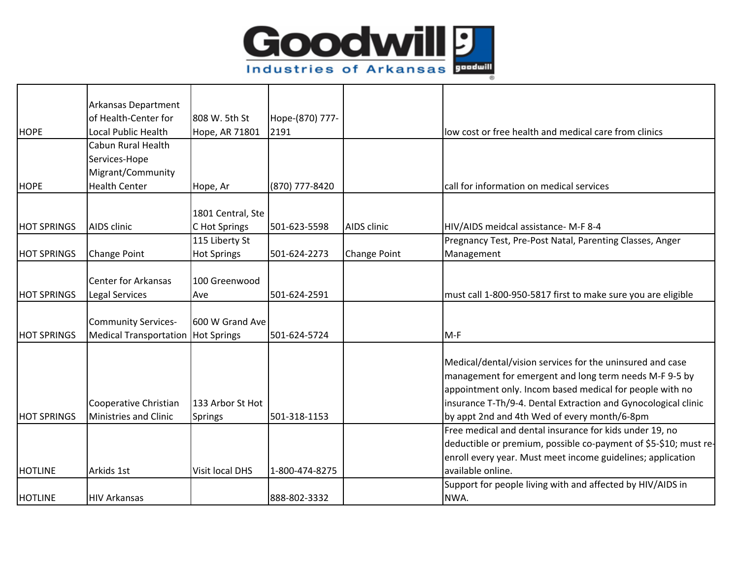

|                    | Arkansas Department           |                    |                 |                     |                                                                  |
|--------------------|-------------------------------|--------------------|-----------------|---------------------|------------------------------------------------------------------|
|                    | of Health-Center for          | 808 W. 5th St      | Hope-(870) 777- |                     |                                                                  |
| <b>HOPE</b>        | Local Public Health           | Hope, AR 71801     | 2191            |                     | low cost or free health and medical care from clinics            |
|                    | Cabun Rural Health            |                    |                 |                     |                                                                  |
|                    | Services-Hope                 |                    |                 |                     |                                                                  |
|                    | Migrant/Community             |                    |                 |                     |                                                                  |
| <b>HOPE</b>        | <b>Health Center</b>          | Hope, Ar           | (870) 777-8420  |                     | call for information on medical services                         |
|                    |                               |                    |                 |                     |                                                                  |
|                    |                               | 1801 Central, Ste  |                 |                     |                                                                  |
| <b>HOT SPRINGS</b> | AIDS clinic                   | C Hot Springs      | 501-623-5598    | <b>AIDS</b> clinic  | HIV/AIDS meidcal assistance- M-F 8-4                             |
|                    |                               | 115 Liberty St     |                 |                     | Pregnancy Test, Pre-Post Natal, Parenting Classes, Anger         |
| <b>HOT SPRINGS</b> | <b>Change Point</b>           | <b>Hot Springs</b> | 501-624-2273    | <b>Change Point</b> | Management                                                       |
|                    |                               |                    |                 |                     |                                                                  |
|                    | <b>Center for Arkansas</b>    | 100 Greenwood      |                 |                     |                                                                  |
| <b>HOT SPRINGS</b> | <b>Legal Services</b>         | Ave                | 501-624-2591    |                     | must call 1-800-950-5817 first to make sure you are eligible     |
|                    |                               |                    |                 |                     |                                                                  |
|                    | <b>Community Services-</b>    | 600 W Grand Ave    |                 |                     |                                                                  |
| <b>HOT SPRINGS</b> | <b>Medical Transportation</b> | <b>Hot Springs</b> | 501-624-5724    |                     | $M-F$                                                            |
|                    |                               |                    |                 |                     |                                                                  |
|                    |                               |                    |                 |                     | Medical/dental/vision services for the uninsured and case        |
|                    |                               |                    |                 |                     | management for emergent and long term needs M-F 9-5 by           |
|                    |                               |                    |                 |                     | appointment only. Incom based medical for people with no         |
|                    | Cooperative Christian         | 133 Arbor St Hot   |                 |                     | insurance T-Th/9-4. Dental Extraction and Gynocological clinic   |
| <b>HOT SPRINGS</b> | Ministries and Clinic         | Springs            | 501-318-1153    |                     | by appt 2nd and 4th Wed of every month/6-8pm                     |
|                    |                               |                    |                 |                     | Free medical and dental insurance for kids under 19, no          |
|                    |                               |                    |                 |                     | deductible or premium, possible co-payment of \$5-\$10; must re- |
|                    |                               |                    |                 |                     | enroll every year. Must meet income guidelines; application      |
| <b>HOTLINE</b>     | Arkids 1st                    | Visit local DHS    | 1-800-474-8275  |                     | available online.                                                |
|                    |                               |                    |                 |                     | Support for people living with and affected by HIV/AIDS in       |
| <b>HOTLINE</b>     | <b>HIV Arkansas</b>           |                    | 888-802-3332    |                     | NWA.                                                             |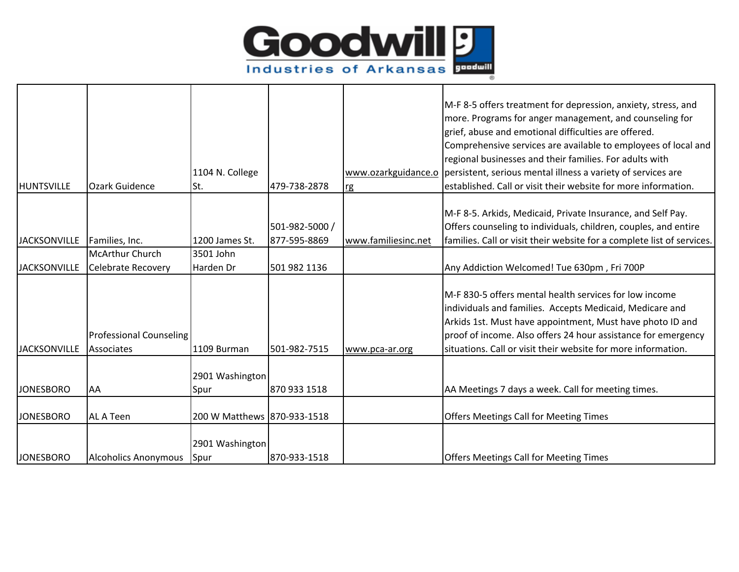

| <b>HUNTSVILLE</b>   | <b>Ozark Guidence</b>                        | 1104 N. College<br>St.      | 479-738-2878   | rg                  | M-F 8-5 offers treatment for depression, anxiety, stress, and<br>more. Programs for anger management, and counseling for<br>grief, abuse and emotional difficulties are offered.<br>Comprehensive services are available to employees of local and<br>regional businesses and their families. For adults with<br>www.ozarkguidance.o   persistent, serious mental illness a variety of services are<br>established. Call or visit their website for more information. |
|---------------------|----------------------------------------------|-----------------------------|----------------|---------------------|-----------------------------------------------------------------------------------------------------------------------------------------------------------------------------------------------------------------------------------------------------------------------------------------------------------------------------------------------------------------------------------------------------------------------------------------------------------------------|
|                     |                                              |                             |                |                     | M-F 8-5. Arkids, Medicaid, Private Insurance, and Self Pay.                                                                                                                                                                                                                                                                                                                                                                                                           |
|                     |                                              |                             | 501-982-5000 / |                     | Offers counseling to individuals, children, couples, and entire                                                                                                                                                                                                                                                                                                                                                                                                       |
| <b>JACKSONVILLE</b> | Families, Inc.                               | 1200 James St.              | 877-595-8869   | www.familiesinc.net | families. Call or visit their website for a complete list of services.                                                                                                                                                                                                                                                                                                                                                                                                |
|                     | <b>McArthur Church</b>                       | 3501 John                   |                |                     |                                                                                                                                                                                                                                                                                                                                                                                                                                                                       |
| <b>JACKSONVILLE</b> | <b>Celebrate Recovery</b>                    | Harden Dr                   | 501 982 1136   |                     | Any Addiction Welcomed! Tue 630pm, Fri 700P                                                                                                                                                                                                                                                                                                                                                                                                                           |
| <b>JACKSONVILLE</b> | <b>Professional Counseling</b><br>Associates | 1109 Burman                 | 501-982-7515   | www.pca-ar.org      | M-F 830-5 offers mental health services for low income<br>individuals and families. Accepts Medicaid, Medicare and<br>Arkids 1st. Must have appointment, Must have photo ID and<br>proof of income. Also offers 24 hour assistance for emergency<br>situations. Call or visit their website for more information.                                                                                                                                                     |
|                     |                                              |                             |                |                     |                                                                                                                                                                                                                                                                                                                                                                                                                                                                       |
|                     |                                              | 2901 Washington             |                |                     |                                                                                                                                                                                                                                                                                                                                                                                                                                                                       |
| <b>JONESBORO</b>    | <b>AA</b>                                    | Spur                        | 870 933 1518   |                     | AA Meetings 7 days a week. Call for meeting times.                                                                                                                                                                                                                                                                                                                                                                                                                    |
| <b>JONESBORO</b>    | <b>AL A Teen</b>                             | 200 W Matthews 870-933-1518 |                |                     | <b>Offers Meetings Call for Meeting Times</b>                                                                                                                                                                                                                                                                                                                                                                                                                         |
| <b>JONESBORO</b>    | <b>Alcoholics Anonymous</b>                  | 2901 Washington<br>Spur     | 870-933-1518   |                     | <b>Offers Meetings Call for Meeting Times</b>                                                                                                                                                                                                                                                                                                                                                                                                                         |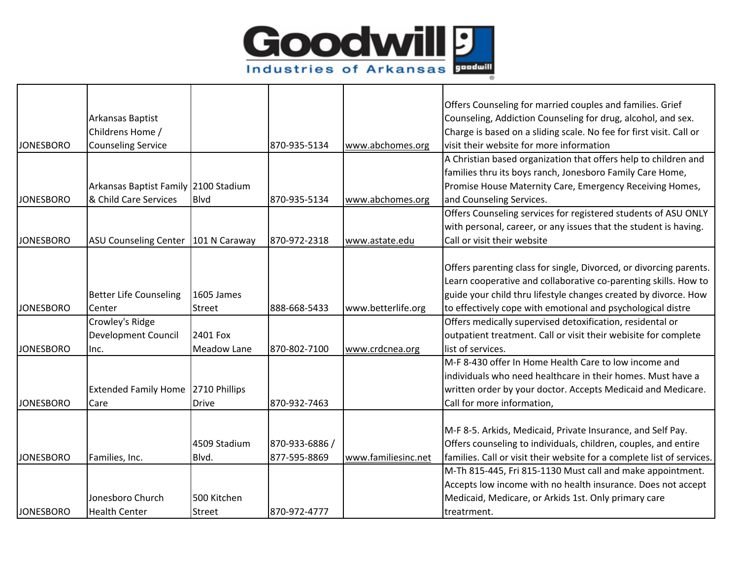

|                  |                                      |                    |                |                     | Offers Counseling for married couples and families. Grief              |
|------------------|--------------------------------------|--------------------|----------------|---------------------|------------------------------------------------------------------------|
|                  | Arkansas Baptist                     |                    |                |                     | Counseling, Addiction Counseling for drug, alcohol, and sex.           |
|                  | Childrens Home /                     |                    |                |                     | Charge is based on a sliding scale. No fee for first visit. Call or    |
| <b>JONESBORO</b> | <b>Counseling Service</b>            |                    | 870-935-5134   | www.abchomes.org    | visit their website for more information                               |
|                  |                                      |                    |                |                     | A Christian based organization that offers help to children and        |
|                  |                                      |                    |                |                     | families thru its boys ranch, Jonesboro Family Care Home,              |
|                  | Arkansas Baptist Family 2100 Stadium |                    |                |                     | Promise House Maternity Care, Emergency Receiving Homes,               |
| <b>JONESBORO</b> | & Child Care Services                | Blvd               | 870-935-5134   | www.abchomes.org    | and Counseling Services.                                               |
|                  |                                      |                    |                |                     | Offers Counseling services for registered students of ASU ONLY         |
|                  |                                      |                    |                |                     | with personal, career, or any issues that the student is having.       |
| <b>JONESBORO</b> | <b>ASU Counseling Center</b>         | 101 N Caraway      | 870-972-2318   | www.astate.edu      | Call or visit their website                                            |
|                  |                                      |                    |                |                     |                                                                        |
|                  |                                      |                    |                |                     | Offers parenting class for single, Divorced, or divorcing parents.     |
|                  |                                      |                    |                |                     | Learn cooperative and collaborative co-parenting skills. How to        |
|                  | <b>Better Life Counseling</b>        | 1605 James         |                |                     | guide your child thru lifestyle changes created by divorce. How        |
| <b>JONESBORO</b> | Center                               | <b>Street</b>      | 888-668-5433   | www.betterlife.org  | to effectively cope with emotional and psychological distre            |
|                  | Crowley's Ridge                      |                    |                |                     | Offers medically supervised detoxification, residental or              |
|                  | Development Council                  | 2401 Fox           |                |                     | outpatient treatment. Call or visit their webisite for complete        |
| <b>JONESBORO</b> | Inc.                                 | <b>Meadow Lane</b> | 870-802-7100   | www.crdcnea.org     | list of services.                                                      |
|                  |                                      |                    |                |                     | M-F 8-430 offer In Home Health Care to low income and                  |
|                  |                                      |                    |                |                     | individuals who need healthcare in their homes. Must have a            |
|                  | <b>Extended Family Home</b>          | 2710 Phillips      |                |                     | written order by your doctor. Accepts Medicaid and Medicare.           |
| <b>JONESBORO</b> | Care                                 | <b>Drive</b>       | 870-932-7463   |                     | Call for more information,                                             |
|                  |                                      |                    |                |                     |                                                                        |
|                  |                                      |                    |                |                     | M-F 8-5. Arkids, Medicaid, Private Insurance, and Self Pay.            |
|                  |                                      | 4509 Stadium       | 870-933-6886 / |                     | Offers counseling to individuals, children, couples, and entire        |
| <b>JONESBORO</b> | Families, Inc.                       | Blvd.              | 877-595-8869   | www.familiesinc.net | families. Call or visit their website for a complete list of services. |
|                  |                                      |                    |                |                     | M-Th 815-445, Fri 815-1130 Must call and make appointment.             |
|                  |                                      |                    |                |                     | Accepts low income with no health insurance. Does not accept           |
|                  | Jonesboro Church                     | 500 Kitchen        |                |                     | Medicaid, Medicare, or Arkids 1st. Only primary care                   |
| <b>JONESBORO</b> | <b>Health Center</b>                 | Street             | 870-972-4777   |                     | treatrment.                                                            |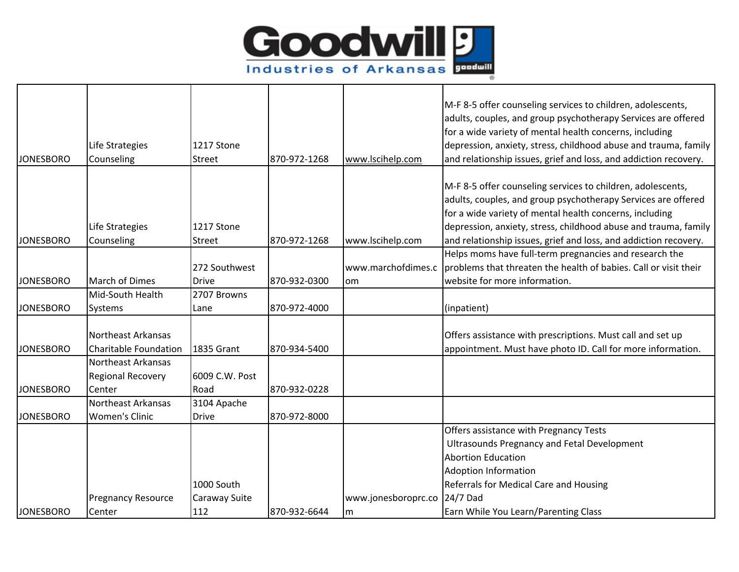

|                  |                              |                   |              |                     | M-F 8-5 offer counseling services to children, adolescents,      |
|------------------|------------------------------|-------------------|--------------|---------------------|------------------------------------------------------------------|
|                  |                              |                   |              |                     | adults, couples, and group psychotherapy Services are offered    |
|                  |                              |                   |              |                     | for a wide variety of mental health concerns, including          |
|                  | Life Strategies              | 1217 Stone        |              |                     | depression, anxiety, stress, childhood abuse and trauma, family  |
| <b>JONESBORO</b> | Counseling                   | Street            | 870-972-1268 | www.lscihelp.com    | and relationship issues, grief and loss, and addiction recovery. |
|                  |                              |                   |              |                     |                                                                  |
|                  |                              |                   |              |                     | M-F 8-5 offer counseling services to children, adolescents,      |
|                  |                              |                   |              |                     | adults, couples, and group psychotherapy Services are offered    |
|                  |                              |                   |              |                     | for a wide variety of mental health concerns, including          |
|                  | Life Strategies              | 1217 Stone        |              |                     | depression, anxiety, stress, childhood abuse and trauma, family  |
| <b>JONESBORO</b> | Counseling                   | Street            | 870-972-1268 | www.lscihelp.com    | and relationship issues, grief and loss, and addiction recovery. |
|                  |                              |                   |              |                     | Helps moms have full-term pregnancies and research the           |
|                  |                              | 272 Southwest     |              | www.marchofdimes.c  | problems that threaten the health of babies. Call or visit their |
| <b>JONESBORO</b> | <b>March of Dimes</b>        | <b>Drive</b>      | 870-932-0300 | <sub>om</sub>       | website for more information.                                    |
|                  | Mid-South Health             | 2707 Browns       |              |                     |                                                                  |
| <b>JONESBORO</b> | Systems                      | Lane              | 870-972-4000 |                     | (inpatient)                                                      |
|                  |                              |                   |              |                     |                                                                  |
|                  | <b>Northeast Arkansas</b>    |                   |              |                     | Offers assistance with prescriptions. Must call and set up       |
| <b>JONESBORO</b> | <b>Charitable Foundation</b> | <b>1835 Grant</b> | 870-934-5400 |                     | appointment. Must have photo ID. Call for more information.      |
|                  | Northeast Arkansas           |                   |              |                     |                                                                  |
|                  | <b>Regional Recovery</b>     | 6009 C.W. Post    |              |                     |                                                                  |
| <b>JONESBORO</b> | Center                       | Road              | 870-932-0228 |                     |                                                                  |
|                  | Northeast Arkansas           | 3104 Apache       |              |                     |                                                                  |
| <b>JONESBORO</b> | <b>Women's Clinic</b>        | <b>Drive</b>      | 870-972-8000 |                     |                                                                  |
|                  |                              |                   |              |                     | Offers assistance with Pregnancy Tests                           |
|                  |                              |                   |              |                     | Ultrasounds Pregnancy and Fetal Development                      |
|                  |                              |                   |              |                     | <b>Abortion Education</b>                                        |
|                  |                              |                   |              |                     | <b>Adoption Information</b>                                      |
|                  |                              | 1000 South        |              |                     | Referrals for Medical Care and Housing                           |
|                  | Pregnancy Resource           | Caraway Suite     |              | www.jonesboroprc.co | 24/7 Dad                                                         |
| <b>JONESBORO</b> | Center                       | 112               | 870-932-6644 | m                   | Earn While You Learn/Parenting Class                             |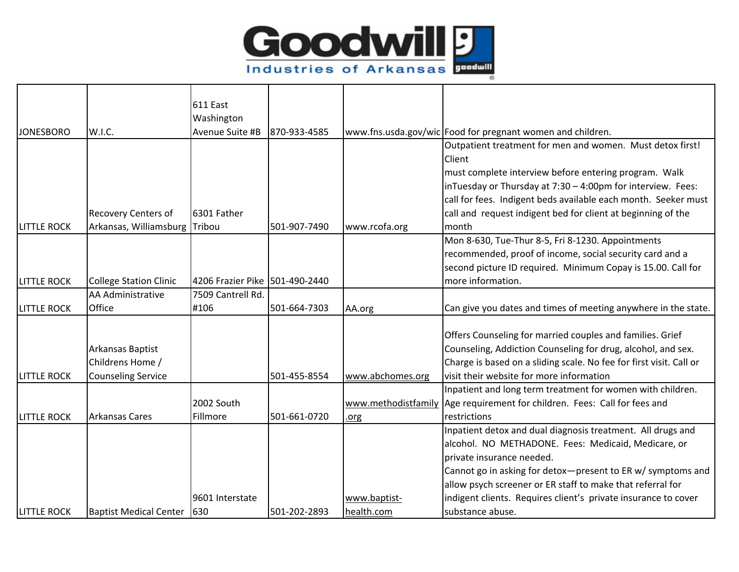

|                    |                               | 611 East                       |              |                  |                                                                           |
|--------------------|-------------------------------|--------------------------------|--------------|------------------|---------------------------------------------------------------------------|
|                    |                               | Washington<br>Avenue Suite #B  |              |                  |                                                                           |
| <b>JONESBORO</b>   | W.I.C.                        |                                | 870-933-4585 |                  | www.fns.usda.gov/wic Food for pregnant women and children.                |
|                    |                               |                                |              |                  | Outpatient treatment for men and women. Must detox first!                 |
|                    |                               |                                |              |                  | Client                                                                    |
|                    |                               |                                |              |                  | must complete interview before entering program. Walk                     |
|                    |                               |                                |              |                  | inTuesday or Thursday at 7:30 - 4:00pm for interview. Fees:               |
|                    |                               |                                |              |                  | call for fees. Indigent beds available each month. Seeker must            |
|                    | <b>Recovery Centers of</b>    | 6301 Father                    |              |                  | call and request indigent bed for client at beginning of the              |
| <b>LITTLE ROCK</b> | Arkansas, Williamsburg        | Tribou                         | 501-907-7490 | www.rcofa.org    | month                                                                     |
|                    |                               |                                |              |                  | Mon 8-630, Tue-Thur 8-5, Fri 8-1230. Appointments                         |
|                    |                               |                                |              |                  | recommended, proof of income, social security card and a                  |
|                    |                               |                                |              |                  | second picture ID required. Minimum Copay is 15.00. Call for              |
| <b>LITTLE ROCK</b> | <b>College Station Clinic</b> | 4206 Frazier Pike 501-490-2440 |              |                  | more information.                                                         |
|                    | AA Administrative             | 7509 Cantrell Rd.              |              |                  |                                                                           |
| <b>LITTLE ROCK</b> | Office                        | #106                           | 501-664-7303 | AA.org           | Can give you dates and times of meeting anywhere in the state.            |
|                    |                               |                                |              |                  |                                                                           |
|                    |                               |                                |              |                  | Offers Counseling for married couples and families. Grief                 |
|                    | Arkansas Baptist              |                                |              |                  | Counseling, Addiction Counseling for drug, alcohol, and sex.              |
|                    | Childrens Home /              |                                |              |                  | Charge is based on a sliding scale. No fee for first visit. Call or       |
| <b>LITTLE ROCK</b> | <b>Counseling Service</b>     |                                | 501-455-8554 | www.abchomes.org | lvisit their website for more information                                 |
|                    |                               |                                |              |                  | Inpatient and long term treatment for women with children.                |
|                    |                               | 2002 South                     |              |                  | www.methodistfamily Age requirement for children. Fees: Call for fees and |
| <b>LITTLE ROCK</b> | <b>Arkansas Cares</b>         | Fillmore                       | 501-661-0720 | .org             | restrictions                                                              |
|                    |                               |                                |              |                  | Inpatient detox and dual diagnosis treatment. All drugs and               |
|                    |                               |                                |              |                  | alcohol. NO METHADONE. Fees: Medicaid, Medicare, or                       |
|                    |                               |                                |              |                  | private insurance needed.                                                 |
|                    |                               |                                |              |                  | Cannot go in asking for detox-present to ER w/ symptoms and               |
|                    |                               |                                |              |                  | allow psych screener or ER staff to make that referral for                |
|                    |                               | 9601 Interstate                |              | www.baptist-     | indigent clients. Requires client's private insurance to cover            |
| <b>LITTLE ROCK</b> | <b>Baptist Medical Center</b> | 630                            | 501-202-2893 | health.com       | substance abuse.                                                          |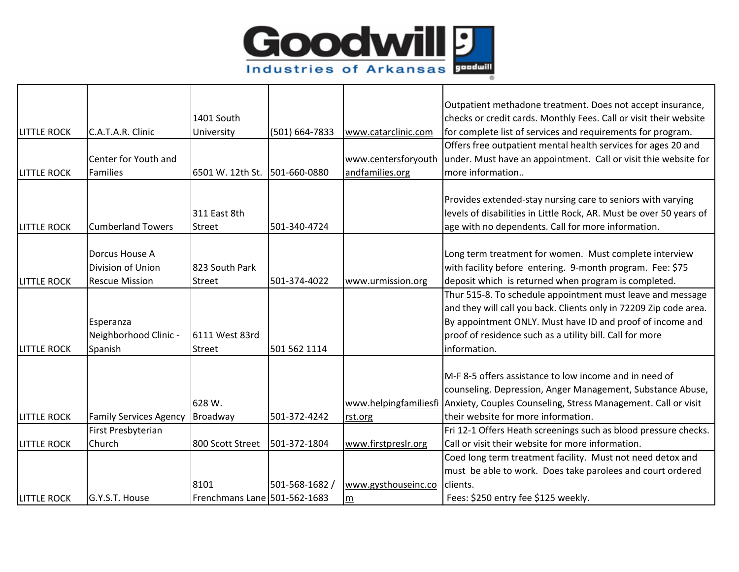

|                    |                               |                              |                |                     | Outpatient methadone treatment. Does not accept insurance,                          |
|--------------------|-------------------------------|------------------------------|----------------|---------------------|-------------------------------------------------------------------------------------|
|                    |                               | 1401 South                   |                |                     | checks or credit cards. Monthly Fees. Call or visit their website                   |
| <b>LITTLE ROCK</b> | C.A.T.A.R. Clinic             | University                   | (501) 664-7833 | www.catarclinic.com | for complete list of services and requirements for program.                         |
|                    |                               |                              |                |                     | Offers free outpatient mental health services for ages 20 and                       |
|                    | Center for Youth and          |                              |                |                     | www.centersforyouth under. Must have an appointment. Call or visit thie website for |
| <b>LITTLE ROCK</b> | Families                      | 6501 W. 12th St.             | 501-660-0880   | andfamilies.org     | more information                                                                    |
|                    |                               |                              |                |                     |                                                                                     |
|                    |                               |                              |                |                     | Provides extended-stay nursing care to seniors with varying                         |
|                    |                               | 311 East 8th                 |                |                     | levels of disabilities in Little Rock, AR. Must be over 50 years of                 |
| <b>LITTLE ROCK</b> | <b>Cumberland Towers</b>      | Street                       | 501-340-4724   |                     | age with no dependents. Call for more information.                                  |
|                    |                               |                              |                |                     |                                                                                     |
|                    | Dorcus House A                |                              |                |                     | Long term treatment for women. Must complete interview                              |
|                    | Division of Union             | 823 South Park               |                |                     | with facility before entering. 9-month program. Fee: \$75                           |
| <b>LITTLE ROCK</b> | <b>Rescue Mission</b>         | <b>Street</b>                | 501-374-4022   | www.urmission.org   | deposit which is returned when program is completed.                                |
|                    |                               |                              |                |                     | Thur 515-8. To schedule appointment must leave and message                          |
|                    |                               |                              |                |                     | and they will call you back. Clients only in 72209 Zip code area.                   |
|                    | Esperanza                     |                              |                |                     | By appointment ONLY. Must have ID and proof of income and                           |
|                    | Neighborhood Clinic -         | 6111 West 83rd               |                |                     | proof of residence such as a utility bill. Call for more                            |
| <b>LITTLE ROCK</b> | Spanish                       | <b>Street</b>                | 501 562 1114   |                     | information.                                                                        |
|                    |                               |                              |                |                     |                                                                                     |
|                    |                               |                              |                |                     | M-F 8-5 offers assistance to low income and in need of                              |
|                    |                               |                              |                |                     | counseling. Depression, Anger Management, Substance Abuse,                          |
|                    |                               | 628 W.                       |                |                     | www.helpingfamiliesfi Anxiety, Couples Counseling, Stress Management. Call or visit |
| <b>LITTLE ROCK</b> | <b>Family Services Agency</b> | Broadway                     | 501-372-4242   | rst.org             | their website for more information.                                                 |
|                    | First Presbyterian            |                              |                |                     | Fri 12-1 Offers Heath screenings such as blood pressure checks.                     |
| <b>LITTLE ROCK</b> | Church                        | 800 Scott Street             | 501-372-1804   | www.firstpreslr.org | Call or visit their website for more information.                                   |
|                    |                               |                              |                |                     | Coed long term treatment facility. Must not need detox and                          |
|                    |                               |                              |                |                     | must be able to work. Does take parolees and court ordered                          |
|                    |                               | 8101                         | 501-568-1682 / | www.gysthouseinc.co | clients.                                                                            |
| <b>LITTLE ROCK</b> | G.Y.S.T. House                | Frenchmans Lane 501-562-1683 |                | ${\sf m}$           | Fees: \$250 entry fee \$125 weekly.                                                 |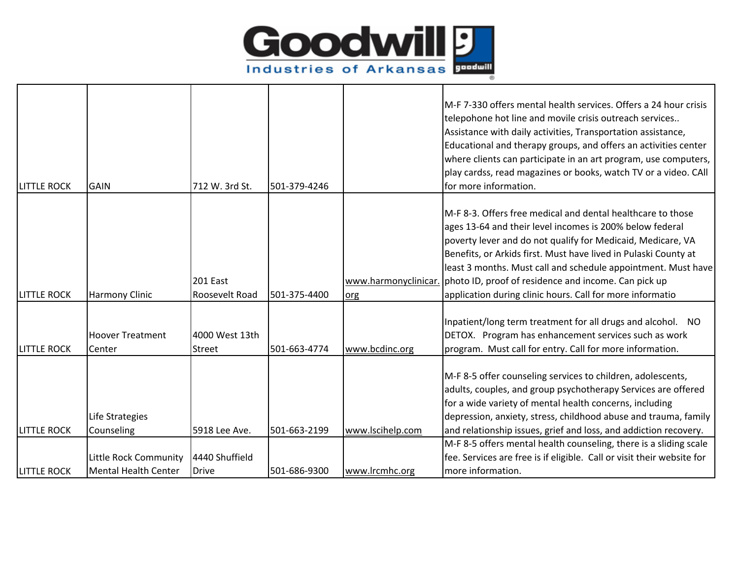

| <b>LITTLE ROCK</b> | <b>GAIN</b>                                          | 712 W. 3rd St.             | 501-379-4246 |                             | M-F 7-330 offers mental health services. Offers a 24 hour crisis<br>telepohone hot line and movile crisis outreach services<br>Assistance with daily activities, Transportation assistance,<br>Educational and therapy groups, and offers an activities center<br>where clients can participate in an art program, use computers,<br>play cardss, read magazines or books, watch TV or a video. CAll<br>for more information.                   |
|--------------------|------------------------------------------------------|----------------------------|--------------|-----------------------------|-------------------------------------------------------------------------------------------------------------------------------------------------------------------------------------------------------------------------------------------------------------------------------------------------------------------------------------------------------------------------------------------------------------------------------------------------|
| <b>LITTLE ROCK</b> | <b>Harmony Clinic</b>                                | 201 East<br>Roosevelt Road | 501-375-4400 | www.harmonyclinicar.<br>org | M-F 8-3. Offers free medical and dental healthcare to those<br>ages 13-64 and their level incomes is 200% below federal<br>poverty lever and do not qualify for Medicaid, Medicare, VA<br>Benefits, or Arkids first. Must have lived in Pulaski County at<br>least 3 months. Must call and schedule appointment. Must have<br>photo ID, proof of residence and income. Can pick up<br>application during clinic hours. Call for more informatio |
| <b>LITTLE ROCK</b> | <b>Hoover Treatment</b><br>Center                    | 4000 West 13th<br>Street   | 501-663-4774 | www.bcdinc.org              | Inpatient/long term treatment for all drugs and alcohol. NO<br>DETOX. Program has enhancement services such as work<br>program. Must call for entry. Call for more information.                                                                                                                                                                                                                                                                 |
| <b>LITTLE ROCK</b> | Life Strategies<br>Counseling                        | 5918 Lee Ave.              | 501-663-2199 | www.lscihelp.com            | M-F 8-5 offer counseling services to children, adolescents,<br>adults, couples, and group psychotherapy Services are offered<br>for a wide variety of mental health concerns, including<br>depression, anxiety, stress, childhood abuse and trauma, family<br>and relationship issues, grief and loss, and addiction recovery.                                                                                                                  |
|                    |                                                      | 4440 Shuffield             |              |                             | M-F 8-5 offers mental health counseling, there is a sliding scale                                                                                                                                                                                                                                                                                                                                                                               |
| <b>LITTLE ROCK</b> | Little Rock Community<br><b>Mental Health Center</b> | <b>Drive</b>               | 501-686-9300 | www.lrcmhc.org              | fee. Services are free is if eligible. Call or visit their website for<br>more information.                                                                                                                                                                                                                                                                                                                                                     |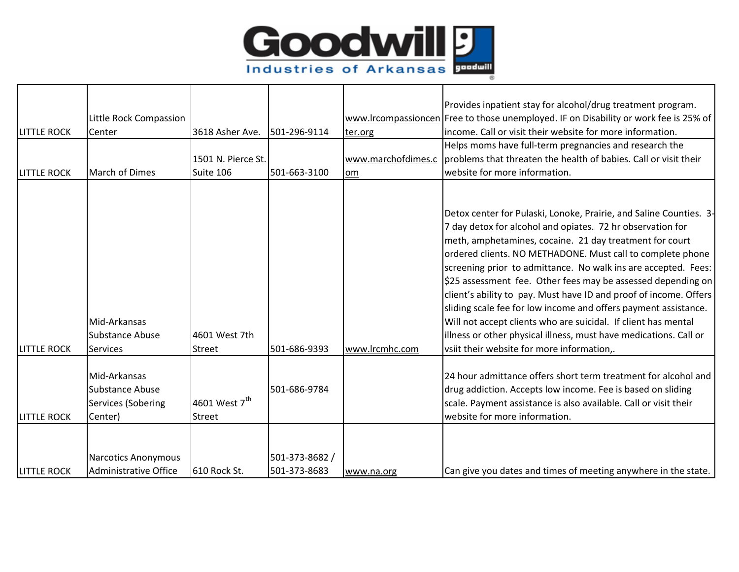

| <b>LITTLE ROCK</b><br><b>LITTLE ROCK</b> | Little Rock Compassion<br>Center<br><b>March of Dimes</b>               | 3618 Asher Ave.<br>1501 N. Pierce St.<br>Suite 106 | 501-296-9114<br>501-663-3100   | ter.org<br>www.marchofdimes.c<br>om | Provides inpatient stay for alcohol/drug treatment program.<br>www.lrcompassioncen Free to those unemployed. IF on Disability or work fee is 25% of<br>income. Call or visit their website for more information.<br>Helps moms have full-term pregnancies and research the<br>problems that threaten the health of babies. Call or visit their<br>website for more information.                                                                                                                                                                                                                                                                                                                                          |
|------------------------------------------|-------------------------------------------------------------------------|----------------------------------------------------|--------------------------------|-------------------------------------|--------------------------------------------------------------------------------------------------------------------------------------------------------------------------------------------------------------------------------------------------------------------------------------------------------------------------------------------------------------------------------------------------------------------------------------------------------------------------------------------------------------------------------------------------------------------------------------------------------------------------------------------------------------------------------------------------------------------------|
| <b>LITTLE ROCK</b>                       | Mid-Arkansas<br><b>Substance Abuse</b><br><b>Services</b>               | 4601 West 7th<br>Street                            | 501-686-9393                   | www.lrcmhc.com                      | Detox center for Pulaski, Lonoke, Prairie, and Saline Counties. 3-<br>7 day detox for alcohol and opiates. 72 hr observation for<br>meth, amphetamines, cocaine. 21 day treatment for court<br>ordered clients. NO METHADONE. Must call to complete phone<br>screening prior to admittance. No walk ins are accepted. Fees:<br>\$25 assessment fee. Other fees may be assessed depending on<br>client's ability to pay. Must have ID and proof of income. Offers<br>sliding scale fee for low income and offers payment assistance.<br>Will not accept clients who are suicidal. If client has mental<br>illness or other physical illness, must have medications. Call or<br>vsiit their website for more information,. |
| <b>LITTLE ROCK</b>                       | Mid-Arkansas<br><b>Substance Abuse</b><br>Services (Sobering<br>Center) | 4601 West 7 <sup>th</sup><br>Street                | 501-686-9784                   |                                     | 24 hour admittance offers short term treatment for alcohol and<br>drug addiction. Accepts low income. Fee is based on sliding<br>scale. Payment assistance is also available. Call or visit their<br>website for more information.                                                                                                                                                                                                                                                                                                                                                                                                                                                                                       |
| <b>LITTLE ROCK</b>                       | <b>Narcotics Anonymous</b><br>Administrative Office                     | 610 Rock St.                                       | 501-373-8682 /<br>501-373-8683 | www.na.org                          | Can give you dates and times of meeting anywhere in the state.                                                                                                                                                                                                                                                                                                                                                                                                                                                                                                                                                                                                                                                           |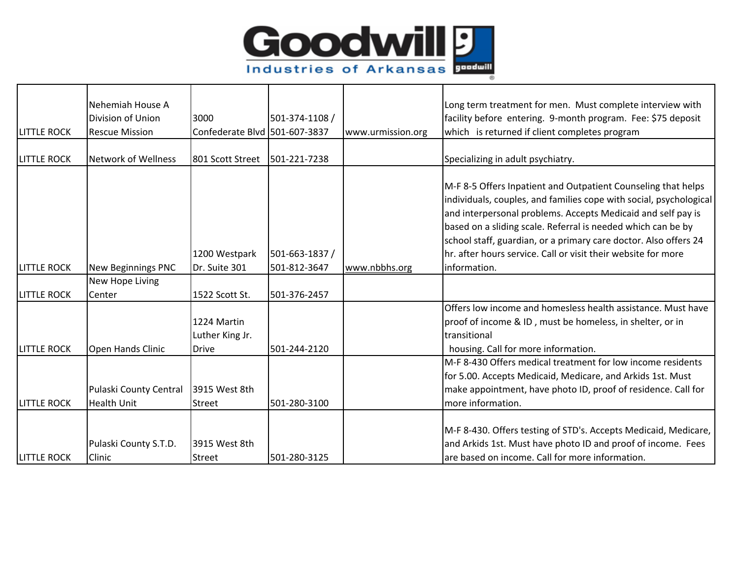

| <b>LITTLE ROCK</b> | Nehemiah House A<br>Division of Union<br><b>Rescue Mission</b> | 3000<br>Confederate Blvd 501-607-3837 | 501-374-1108 /                 | www.urmission.org | Long term treatment for men. Must complete interview with<br>facility before entering. 9-month program. Fee: \$75 deposit<br>which is returned if client completes program                                                                                                                                                                                                                                                |
|--------------------|----------------------------------------------------------------|---------------------------------------|--------------------------------|-------------------|---------------------------------------------------------------------------------------------------------------------------------------------------------------------------------------------------------------------------------------------------------------------------------------------------------------------------------------------------------------------------------------------------------------------------|
| <b>LITTLE ROCK</b> | <b>Network of Wellness</b>                                     | 801 Scott Street                      | 501-221-7238                   |                   | Specializing in adult psychiatry.                                                                                                                                                                                                                                                                                                                                                                                         |
| <b>LITTLE ROCK</b> | <b>New Beginnings PNC</b>                                      | 1200 Westpark<br>Dr. Suite 301        | 501-663-1837 /<br>501-812-3647 | www.nbbhs.org     | M-F 8-5 Offers Inpatient and Outpatient Counseling that helps<br>individuals, couples, and families cope with social, psychological<br>and interpersonal problems. Accepts Medicaid and self pay is<br>based on a sliding scale. Referral is needed which can be by<br>school staff, guardian, or a primary care doctor. Also offers 24<br>Ihr. after hours service. Call or visit their website for more<br>information. |
|                    | New Hope Living                                                |                                       |                                |                   |                                                                                                                                                                                                                                                                                                                                                                                                                           |
| <b>LITTLE ROCK</b> | Center                                                         | 1522 Scott St.                        | 501-376-2457                   |                   |                                                                                                                                                                                                                                                                                                                                                                                                                           |
|                    |                                                                | 1224 Martin<br>Luther King Jr.        |                                |                   | Offers low income and homesless health assistance. Must have<br>proof of income & ID, must be homeless, in shelter, or in<br>transitional                                                                                                                                                                                                                                                                                 |
| <b>LITTLE ROCK</b> | <b>Open Hands Clinic</b>                                       | <b>Drive</b>                          | 501-244-2120                   |                   | housing. Call for more information.                                                                                                                                                                                                                                                                                                                                                                                       |
| <b>LITTLE ROCK</b> | Pulaski County Central<br><b>Health Unit</b>                   | 3915 West 8th<br>Street               | 501-280-3100                   |                   | M-F 8-430 Offers medical treatment for low income residents<br>for 5.00. Accepts Medicaid, Medicare, and Arkids 1st. Must<br>make appointment, have photo ID, proof of residence. Call for<br>more information.                                                                                                                                                                                                           |
| <b>LITTLE ROCK</b> | Pulaski County S.T.D.<br>Clinic                                | 3915 West 8th<br>Street               | 501-280-3125                   |                   | M-F 8-430. Offers testing of STD's. Accepts Medicaid, Medicare,<br>and Arkids 1st. Must have photo ID and proof of income. Fees<br>are based on income. Call for more information.                                                                                                                                                                                                                                        |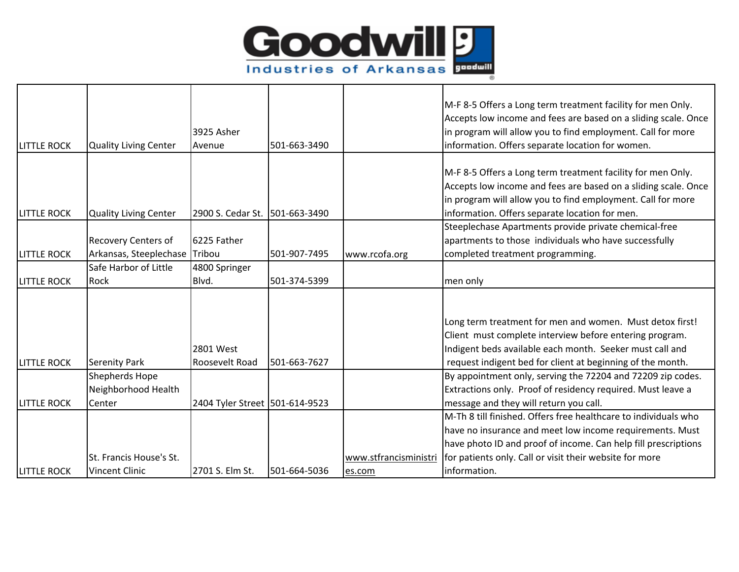

| <b>LITTLE ROCK</b> | <b>Quality Living Center</b> | 3925 Asher<br>Avenue           | 501-663-3490 |                       | M-F 8-5 Offers a Long term treatment facility for men Only.<br>Accepts low income and fees are based on a sliding scale. Once<br>in program will allow you to find employment. Call for more<br>information. Offers separate location for women. |
|--------------------|------------------------------|--------------------------------|--------------|-----------------------|--------------------------------------------------------------------------------------------------------------------------------------------------------------------------------------------------------------------------------------------------|
|                    |                              |                                |              |                       |                                                                                                                                                                                                                                                  |
|                    |                              |                                |              |                       | M-F 8-5 Offers a Long term treatment facility for men Only.<br>Accepts low income and fees are based on a sliding scale. Once<br>in program will allow you to find employment. Call for more                                                     |
| <b>LITTLE ROCK</b> | <b>Quality Living Center</b> | 2900 S. Cedar St.              | 501-663-3490 |                       | information. Offers separate location for men.                                                                                                                                                                                                   |
|                    | Recovery Centers of          | 6225 Father                    |              |                       | Steeplechase Apartments provide private chemical-free<br>apartments to those individuals who have successfully                                                                                                                                   |
| <b>LITTLE ROCK</b> | Arkansas, Steeplechase       | Tribou                         | 501-907-7495 | www.rcofa.org         | completed treatment programming.                                                                                                                                                                                                                 |
|                    | Safe Harbor of Little        | 4800 Springer                  |              |                       |                                                                                                                                                                                                                                                  |
| <b>LITTLE ROCK</b> | Rock                         | Blvd.                          | 501-374-5399 |                       | men only                                                                                                                                                                                                                                         |
| <b>LITTLE ROCK</b> | <b>Serenity Park</b>         | 2801 West<br>Roosevelt Road    | 501-663-7627 |                       | Long term treatment for men and women. Must detox first!<br>Client must complete interview before entering program.<br>Indigent beds available each month. Seeker must call and<br>request indigent bed for client at beginning of the month.    |
|                    | Shepherds Hope               |                                |              |                       | By appointment only, serving the 72204 and 72209 zip codes.                                                                                                                                                                                      |
|                    | Neighborhood Health          |                                |              |                       | Extractions only. Proof of residency required. Must leave a                                                                                                                                                                                      |
| <b>LITTLE ROCK</b> | Center                       | 2404 Tyler Street 501-614-9523 |              |                       | message and they will return you call.                                                                                                                                                                                                           |
|                    |                              |                                |              |                       | M-Th 8 till finished. Offers free healthcare to individuals who                                                                                                                                                                                  |
|                    |                              |                                |              |                       | have no insurance and meet low income requirements. Must                                                                                                                                                                                         |
|                    |                              |                                |              |                       | have photo ID and proof of income. Can help fill prescriptions                                                                                                                                                                                   |
|                    | St. Francis House's St.      |                                |              | www.stfrancisministri | for patients only. Call or visit their website for more                                                                                                                                                                                          |
| <b>LITTLE ROCK</b> | <b>Vincent Clinic</b>        | 2701 S. Elm St.                | 501-664-5036 | es.com                | information.                                                                                                                                                                                                                                     |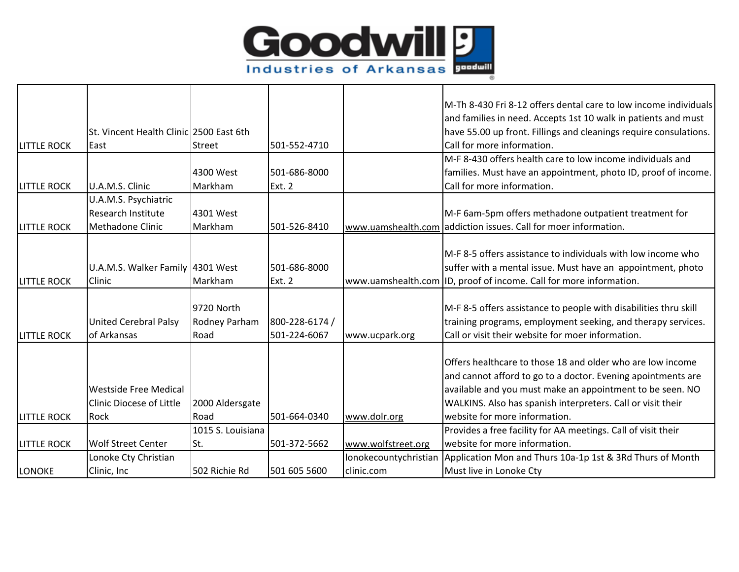

|                    |                                         |                   |                |                    | M-Th 8-430 Fri 8-12 offers dental care to low income individuals                |
|--------------------|-----------------------------------------|-------------------|----------------|--------------------|---------------------------------------------------------------------------------|
|                    |                                         |                   |                |                    | and families in need. Accepts 1st 10 walk in patients and must                  |
|                    | St. Vincent Health Clinic 2500 East 6th |                   |                |                    | have 55.00 up front. Fillings and cleanings require consulations.               |
| <b>LITTLE ROCK</b> | East                                    | Street            | 501-552-4710   |                    | Call for more information.                                                      |
|                    |                                         |                   |                |                    | M-F 8-430 offers health care to low income individuals and                      |
|                    |                                         | 4300 West         | 501-686-8000   |                    | families. Must have an appointment, photo ID, proof of income.                  |
| <b>LITTLE ROCK</b> | U.A.M.S. Clinic                         | Markham           | Ext. 2         |                    | Call for more information.                                                      |
|                    | U.A.M.S. Psychiatric                    |                   |                |                    |                                                                                 |
|                    | Research Institute                      | 4301 West         |                |                    | M-F 6am-5pm offers methadone outpatient treatment for                           |
| <b>LITTLE ROCK</b> | <b>Methadone Clinic</b>                 | Markham           | 501-526-8410   |                    | www.uamshealth.com addiction issues. Call for moer information.                 |
|                    |                                         |                   |                |                    |                                                                                 |
|                    |                                         |                   |                |                    | M-F 8-5 offers assistance to individuals with low income who                    |
|                    | U.A.M.S. Walker Family 4301 West        |                   | 501-686-8000   |                    | suffer with a mental issue. Must have an appointment, photo                     |
| <b>LITTLE ROCK</b> | Clinic                                  | Markham           | <b>Ext. 2</b>  |                    | www.uamshealth.com ID, proof of income. Call for more information.              |
|                    |                                         |                   |                |                    |                                                                                 |
|                    |                                         | 9720 North        |                |                    | M-F 8-5 offers assistance to people with disabilities thru skill                |
|                    | <b>United Cerebral Palsy</b>            | Rodney Parham     | 800-228-6174 / |                    | training programs, employment seeking, and therapy services.                    |
| <b>LITTLE ROCK</b> | of Arkansas                             | Road              | 501-224-6067   | www.ucpark.org     | Call or visit their website for moer information.                               |
|                    |                                         |                   |                |                    |                                                                                 |
|                    |                                         |                   |                |                    | Offers healthcare to those 18 and older who are low income                      |
|                    |                                         |                   |                |                    | and cannot afford to go to a doctor. Evening apointments are                    |
|                    | <b>Westside Free Medical</b>            |                   |                |                    | available and you must make an appointment to be seen. NO                       |
|                    | <b>Clinic Diocese of Little</b>         | 2000 Aldersgate   |                |                    | WALKINS. Also has spanish interpreters. Call or visit their                     |
| <b>LITTLE ROCK</b> | Rock                                    | Road              | 501-664-0340   | www.dolr.org       | website for more information.                                                   |
|                    |                                         | 1015 S. Louisiana |                |                    | Provides a free facility for AA meetings. Call of visit their                   |
| <b>LITTLE ROCK</b> | <b>Wolf Street Center</b>               | St.               | 501-372-5662   | www.wolfstreet.org | website for more information.                                                   |
|                    | Lonoke Cty Christian                    |                   |                |                    | lonokecountychristian Application Mon and Thurs 10a-1p 1st & 3Rd Thurs of Month |
| LONOKE             | Clinic, Inc                             | 502 Richie Rd     | 501 605 5600   | clinic.com         | Must live in Lonoke Cty                                                         |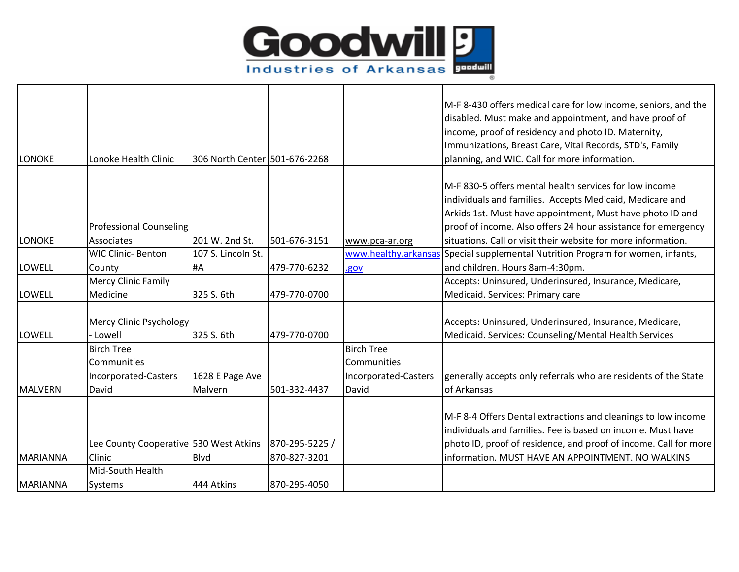

|                 |                                        |                               |                |                      | M-F 8-430 offers medical care for low income, seniors, and the                  |
|-----------------|----------------------------------------|-------------------------------|----------------|----------------------|---------------------------------------------------------------------------------|
|                 |                                        |                               |                |                      | disabled. Must make and appointment, and have proof of                          |
|                 |                                        |                               |                |                      | income, proof of residency and photo ID. Maternity,                             |
|                 |                                        |                               |                |                      | Immunizations, Breast Care, Vital Records, STD's, Family                        |
| <b>LONOKE</b>   | Lonoke Health Clinic                   | 306 North Center 501-676-2268 |                |                      | planning, and WIC. Call for more information.                                   |
|                 |                                        |                               |                |                      | M-F 830-5 offers mental health services for low income                          |
|                 |                                        |                               |                |                      | individuals and families. Accepts Medicaid, Medicare and                        |
|                 |                                        |                               |                |                      |                                                                                 |
|                 |                                        |                               |                |                      | Arkids 1st. Must have appointment, Must have photo ID and                       |
|                 | <b>Professional Counseling</b>         |                               |                |                      | proof of income. Also offers 24 hour assistance for emergency                   |
| <b>LONOKE</b>   | Associates                             | 201 W. 2nd St.                | 501-676-3151   | www.pca-ar.org       | situations. Call or visit their website for more information.                   |
|                 | <b>WIC Clinic- Benton</b>              | 107 S. Lincoln St.            |                |                      | www.healthy.arkansas Special supplemental Nutrition Program for women, infants, |
| <b>LOWELL</b>   | County                                 | #A                            | 479-770-6232   | .gov                 | and children. Hours 8am-4:30pm.                                                 |
|                 | <b>Mercy Clinic Family</b>             |                               |                |                      | Accepts: Uninsured, Underinsured, Insurance, Medicare,                          |
| <b>LOWELL</b>   | Medicine                               | 325 S. 6th                    | 479-770-0700   |                      | Medicaid. Services: Primary care                                                |
|                 | <b>Mercy Clinic Psychology</b>         |                               |                |                      | Accepts: Uninsured, Underinsured, Insurance, Medicare,                          |
| LOWELL          | Lowell                                 | 325 S. 6th                    | 479-770-0700   |                      | Medicaid. Services: Counseling/Mental Health Services                           |
|                 | <b>Birch Tree</b>                      |                               |                | <b>Birch Tree</b>    |                                                                                 |
|                 |                                        |                               |                |                      |                                                                                 |
|                 | Communities                            |                               |                | Communities          |                                                                                 |
|                 | Incorporated-Casters                   | 1628 E Page Ave               |                | Incorporated-Casters | generally accepts only referrals who are residents of the State                 |
| <b>MALVERN</b>  | David                                  | Malvern                       | 501-332-4437   | David                | of Arkansas                                                                     |
|                 |                                        |                               |                |                      | M-F 8-4 Offers Dental extractions and cleanings to low income                   |
|                 |                                        |                               |                |                      | individuals and families. Fee is based on income. Must have                     |
|                 |                                        |                               |                |                      |                                                                                 |
|                 | Lee County Cooperative 530 West Atkins |                               | 870-295-5225 / |                      | photo ID, proof of residence, and proof of income. Call for more                |
| <b>MARIANNA</b> | Clinic                                 | <b>B</b> lvd                  | 870-827-3201   |                      | information. MUST HAVE AN APPOINTMENT. NO WALKINS                               |
|                 | Mid-South Health                       |                               |                |                      |                                                                                 |
| <b>MARIANNA</b> | Systems                                | 444 Atkins                    | 870-295-4050   |                      |                                                                                 |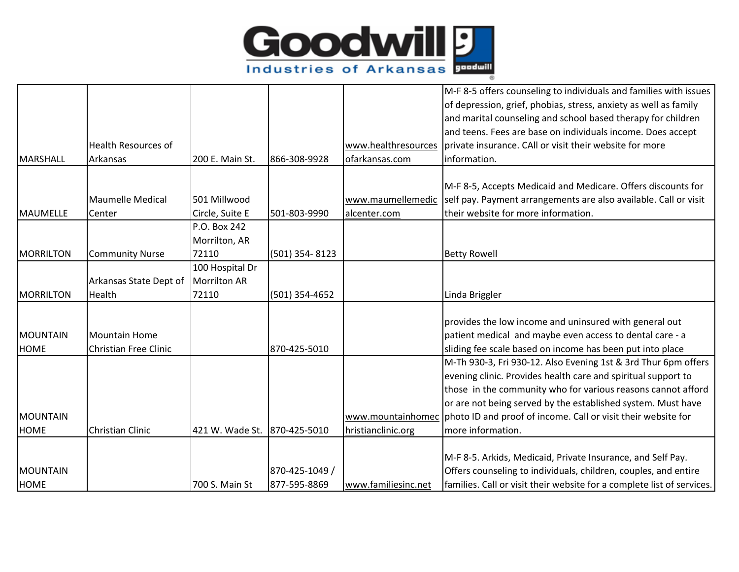

|                  |                              |                     |                |                     | M-F 8-5 offers counseling to individuals and families with issues               |
|------------------|------------------------------|---------------------|----------------|---------------------|---------------------------------------------------------------------------------|
|                  |                              |                     |                |                     | of depression, grief, phobias, stress, anxiety as well as family                |
|                  |                              |                     |                |                     | and marital counseling and school based therapy for children                    |
|                  |                              |                     |                |                     | and teens. Fees are base on individuals income. Does accept                     |
|                  | <b>Health Resources of</b>   |                     |                | www.healthresources | private insurance. CAll or visit their website for more                         |
| MARSHALL         | Arkansas                     | 200 E. Main St.     | 866-308-9928   | ofarkansas.com      | information.                                                                    |
|                  |                              |                     |                |                     |                                                                                 |
|                  |                              |                     |                |                     | M-F 8-5, Accepts Medicaid and Medicare. Offers discounts for                    |
|                  | <b>Maumelle Medical</b>      | 501 Millwood        |                | www.maumellemedic   | self pay. Payment arrangements are also available. Call or visit                |
| MAUMELLE         | Center                       | Circle, Suite E     | 501-803-9990   | alcenter.com        | their website for more information.                                             |
|                  |                              | P.O. Box 242        |                |                     |                                                                                 |
|                  |                              | Morrilton, AR       |                |                     |                                                                                 |
| <b>MORRILTON</b> | <b>Community Nurse</b>       | 72110               | (501) 354-8123 |                     | <b>Betty Rowell</b>                                                             |
|                  |                              | 100 Hospital Dr     |                |                     |                                                                                 |
|                  | Arkansas State Dept of       | <b>Morrilton AR</b> |                |                     |                                                                                 |
| MORRILTON        | Health                       | 72110               | (501) 354-4652 |                     | Linda Briggler                                                                  |
|                  |                              |                     |                |                     |                                                                                 |
|                  |                              |                     |                |                     | provides the low income and uninsured with general out                          |
| <b>MOUNTAIN</b>  | Mountain Home                |                     |                |                     | patient medical and maybe even access to dental care - a                        |
| <b>HOME</b>      | <b>Christian Free Clinic</b> |                     | 870-425-5010   |                     | sliding fee scale based on income has been put into place                       |
|                  |                              |                     |                |                     | M-Th 930-3, Fri 930-12. Also Evening 1st & 3rd Thur 6pm offers                  |
|                  |                              |                     |                |                     | evening clinic. Provides health care and spiritual support to                   |
|                  |                              |                     |                |                     | those in the community who for various reasons cannot afford                    |
|                  |                              |                     |                |                     | or are not being served by the established system. Must have                    |
| <b>MOUNTAIN</b>  |                              |                     |                |                     | www.mountainhomec photo ID and proof of income. Call or visit their website for |
| <b>HOME</b>      | Christian Clinic             | 421 W. Wade St.     | 870-425-5010   | hristianclinic.org  | more information.                                                               |
|                  |                              |                     |                |                     |                                                                                 |
|                  |                              |                     |                |                     | M-F 8-5. Arkids, Medicaid, Private Insurance, and Self Pay.                     |
| MOUNTAIN         |                              |                     | 870-425-1049 / |                     | Offers counseling to individuals, children, couples, and entire                 |
| <b>HOME</b>      |                              | 700 S. Main St      | 877-595-8869   | www.familiesinc.net | families. Call or visit their website for a complete list of services.          |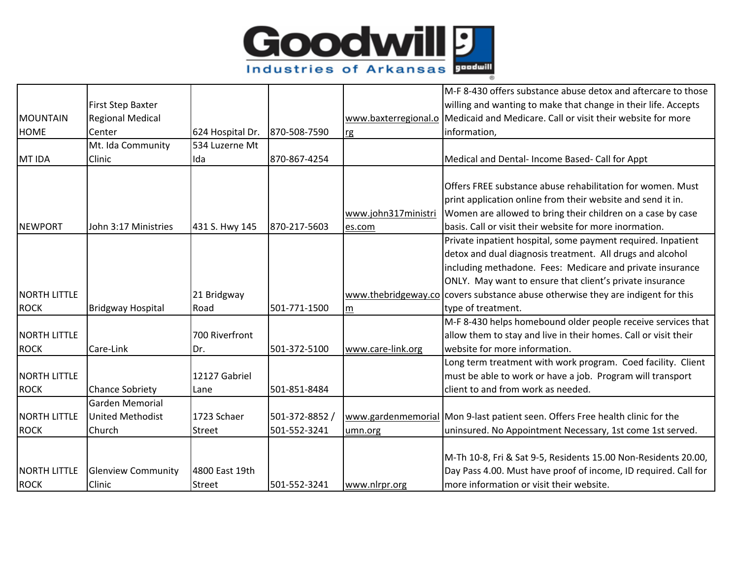

|                     |                           |                  |                |                     | M-F 8-430 offers substance abuse detox and aftercare to those                    |
|---------------------|---------------------------|------------------|----------------|---------------------|----------------------------------------------------------------------------------|
|                     | First Step Baxter         |                  |                |                     | willing and wanting to make that change in their life. Accepts                   |
| <b>MOUNTAIN</b>     | <b>Regional Medical</b>   |                  |                |                     | www.baxterregional.o Medicaid and Medicare. Call or visit their website for more |
| <b>HOME</b>         | Center                    | 624 Hospital Dr. | 870-508-7590   | rg                  | information,                                                                     |
|                     | Mt. Ida Community         | 534 Luzerne Mt   |                |                     |                                                                                  |
| MT IDA              | Clinic                    | Ida              | 870-867-4254   |                     | Medical and Dental- Income Based- Call for Appt                                  |
|                     |                           |                  |                |                     |                                                                                  |
|                     |                           |                  |                |                     | Offers FREE substance abuse rehabilitation for women. Must                       |
|                     |                           |                  |                |                     | print application online from their website and send it in.                      |
|                     |                           |                  |                | www.john317ministri | Women are allowed to bring their children on a case by case                      |
| <b>NEWPORT</b>      | John 3:17 Ministries      | 431 S. Hwy 145   | 870-217-5603   | es.com              | Ibasis. Call or visit their website for more inormation.                         |
|                     |                           |                  |                |                     | Private inpatient hospital, some payment required. Inpatient                     |
|                     |                           |                  |                |                     | detox and dual diagnosis treatment. All drugs and alcohol                        |
|                     |                           |                  |                |                     | including methadone. Fees: Medicare and private insurance                        |
|                     |                           |                  |                |                     | ONLY. May want to ensure that client's private insurance                         |
| <b>NORTH LITTLE</b> |                           | 21 Bridgway      |                |                     | www.thebridgeway.co covers substance abuse otherwise they are indigent for this  |
| <b>ROCK</b>         | <b>Bridgway Hospital</b>  | Road             | 501-771-1500   | m                   | type of treatment.                                                               |
|                     |                           |                  |                |                     | M-F 8-430 helps homebound older people receive services that                     |
| <b>NORTH LITTLE</b> |                           | 700 Riverfront   |                |                     | allow them to stay and live in their homes. Call or visit their                  |
| <b>ROCK</b>         | Care-Link                 | Dr.              | 501-372-5100   | www.care-link.org   | website for more information.                                                    |
|                     |                           |                  |                |                     | Long term treatment with work program. Coed facility. Client                     |
| <b>NORTH LITTLE</b> |                           | 12127 Gabriel    |                |                     | must be able to work or have a job. Program will transport                       |
| <b>ROCK</b>         | <b>Chance Sobriety</b>    | Lane             | 501-851-8484   |                     | client to and from work as needed.                                               |
|                     | <b>Garden Memorial</b>    |                  |                |                     |                                                                                  |
| <b>NORTH LITTLE</b> | <b>United Methodist</b>   | 1723 Schaer      | 501-372-8852 / |                     | www.gardenmemorial Mon 9-last patient seen. Offers Free health clinic for the    |
| <b>ROCK</b>         | Church                    | Street           | 501-552-3241   | umn.org             | uninsured. No Appointment Necessary, 1st come 1st served.                        |
|                     |                           |                  |                |                     |                                                                                  |
|                     |                           |                  |                |                     | M-Th 10-8, Fri & Sat 9-5, Residents 15.00 Non-Residents 20.00,                   |
| <b>NORTH LITTLE</b> | <b>Glenview Community</b> | 4800 East 19th   |                |                     | Day Pass 4.00. Must have proof of income, ID required. Call for                  |
| <b>ROCK</b>         | Clinic                    | Street           | 501-552-3241   | www.nlrpr.org       | more information or visit their website.                                         |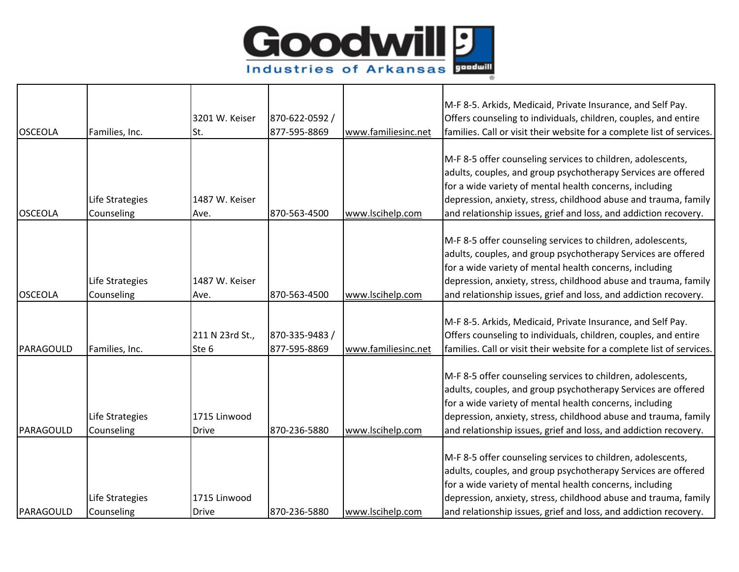

|                |                 |                  |                |                     | M-F 8-5. Arkids, Medicaid, Private Insurance, and Self Pay.            |
|----------------|-----------------|------------------|----------------|---------------------|------------------------------------------------------------------------|
|                |                 | 3201 W. Keiser   | 870-622-0592 / |                     | Offers counseling to individuals, children, couples, and entire        |
| <b>OSCEOLA</b> | Families, Inc.  | St.              | 877-595-8869   | www.familiesinc.net | families. Call or visit their website for a complete list of services. |
|                |                 |                  |                |                     |                                                                        |
|                |                 |                  |                |                     | M-F 8-5 offer counseling services to children, adolescents,            |
|                |                 |                  |                |                     | adults, couples, and group psychotherapy Services are offered          |
|                |                 |                  |                |                     | for a wide variety of mental health concerns, including                |
|                | Life Strategies | 1487 W. Keiser   |                |                     | depression, anxiety, stress, childhood abuse and trauma, family        |
| <b>OSCEOLA</b> | Counseling      | Ave.             | 870-563-4500   | www.lscihelp.com    | and relationship issues, grief and loss, and addiction recovery.       |
|                |                 |                  |                |                     |                                                                        |
|                |                 |                  |                |                     | M-F 8-5 offer counseling services to children, adolescents,            |
|                |                 |                  |                |                     | adults, couples, and group psychotherapy Services are offered          |
|                |                 |                  |                |                     | for a wide variety of mental health concerns, including                |
|                | Life Strategies | 1487 W. Keiser   |                |                     | depression, anxiety, stress, childhood abuse and trauma, family        |
| <b>OSCEOLA</b> | Counseling      | Ave.             | 870-563-4500   | www.lscihelp.com    | and relationship issues, grief and loss, and addiction recovery.       |
|                |                 |                  |                |                     |                                                                        |
|                |                 |                  |                |                     | M-F 8-5. Arkids, Medicaid, Private Insurance, and Self Pay.            |
|                |                 | 211 N 23rd St.,  | 870-335-9483 / |                     | Offers counseling to individuals, children, couples, and entire        |
| PARAGOULD      | Families, Inc.  | Ste <sub>6</sub> | 877-595-8869   | www.familiesinc.net | families. Call or visit their website for a complete list of services. |
|                |                 |                  |                |                     |                                                                        |
|                |                 |                  |                |                     | M-F 8-5 offer counseling services to children, adolescents,            |
|                |                 |                  |                |                     | adults, couples, and group psychotherapy Services are offered          |
|                |                 |                  |                |                     | for a wide variety of mental health concerns, including                |
|                | Life Strategies | 1715 Linwood     |                |                     | depression, anxiety, stress, childhood abuse and trauma, family        |
| PARAGOULD      | Counseling      | <b>Drive</b>     | 870-236-5880   | www.lscihelp.com    | and relationship issues, grief and loss, and addiction recovery.       |
|                |                 |                  |                |                     |                                                                        |
|                |                 |                  |                |                     | M-F 8-5 offer counseling services to children, adolescents,            |
|                |                 |                  |                |                     | adults, couples, and group psychotherapy Services are offered          |
|                |                 |                  |                |                     | for a wide variety of mental health concerns, including                |
|                | Life Strategies | 1715 Linwood     |                |                     | depression, anxiety, stress, childhood abuse and trauma, family        |
| PARAGOULD      | Counseling      | <b>Drive</b>     | 870-236-5880   | www.lscihelp.com    | and relationship issues, grief and loss, and addiction recovery.       |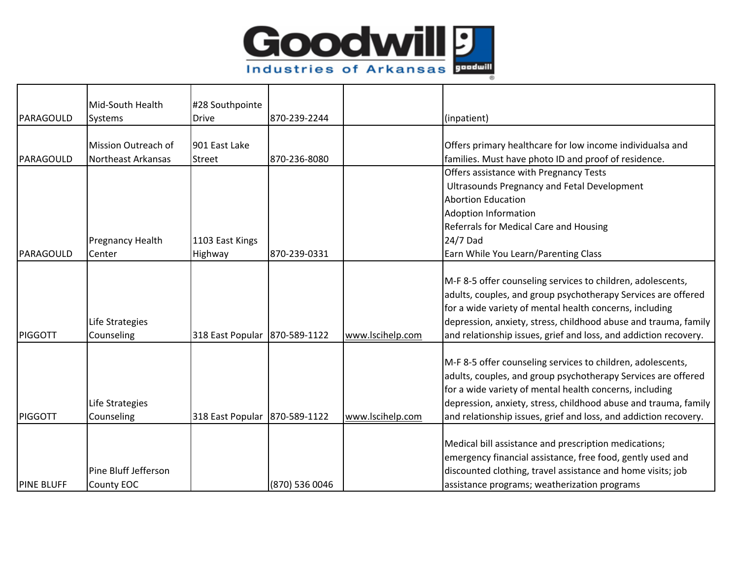

| PARAGOULD         | Mid-South Health<br>Systems        | #28 Southpointe<br><b>Drive</b> | 870-239-2244   |                  | (inpatient)                                                                                                                                                                                                                                                                                                                    |
|-------------------|------------------------------------|---------------------------------|----------------|------------------|--------------------------------------------------------------------------------------------------------------------------------------------------------------------------------------------------------------------------------------------------------------------------------------------------------------------------------|
|                   | Mission Outreach of                | 901 East Lake                   |                |                  | Offers primary healthcare for low income individualsa and                                                                                                                                                                                                                                                                      |
| PARAGOULD         | <b>Northeast Arkansas</b>          | Street                          | 870-236-8080   |                  | families. Must have photo ID and proof of residence.                                                                                                                                                                                                                                                                           |
|                   |                                    |                                 |                |                  | Offers assistance with Pregnancy Tests                                                                                                                                                                                                                                                                                         |
|                   |                                    |                                 |                |                  | <b>Ultrasounds Pregnancy and Fetal Development</b>                                                                                                                                                                                                                                                                             |
|                   |                                    |                                 |                |                  | <b>Abortion Education</b>                                                                                                                                                                                                                                                                                                      |
|                   |                                    |                                 |                |                  | <b>Adoption Information</b>                                                                                                                                                                                                                                                                                                    |
|                   |                                    |                                 |                |                  | Referrals for Medical Care and Housing                                                                                                                                                                                                                                                                                         |
|                   | <b>Pregnancy Health</b>            | 1103 East Kings                 |                |                  | 24/7 Dad                                                                                                                                                                                                                                                                                                                       |
| PARAGOULD         | Center                             | Highway                         | 870-239-0331   |                  | Earn While You Learn/Parenting Class                                                                                                                                                                                                                                                                                           |
| <b>PIGGOTT</b>    | Life Strategies<br>Counseling      | 318 East Popular 870-589-1122   |                | www.lscihelp.com | M-F 8-5 offer counseling services to children, adolescents,<br>adults, couples, and group psychotherapy Services are offered<br>for a wide variety of mental health concerns, including<br>depression, anxiety, stress, childhood abuse and trauma, family<br>and relationship issues, grief and loss, and addiction recovery. |
| <b>PIGGOTT</b>    | Life Strategies<br>Counseling      | 318 East Popular 870-589-1122   |                | www.lscihelp.com | M-F 8-5 offer counseling services to children, adolescents,<br>adults, couples, and group psychotherapy Services are offered<br>for a wide variety of mental health concerns, including<br>depression, anxiety, stress, childhood abuse and trauma, family<br>and relationship issues, grief and loss, and addiction recovery. |
| <b>PINE BLUFF</b> | Pine Bluff Jefferson<br>County EOC |                                 | (870) 536 0046 |                  | Medical bill assistance and prescription medications;<br>emergency financial assistance, free food, gently used and<br>discounted clothing, travel assistance and home visits; job<br>assistance programs; weatherization programs                                                                                             |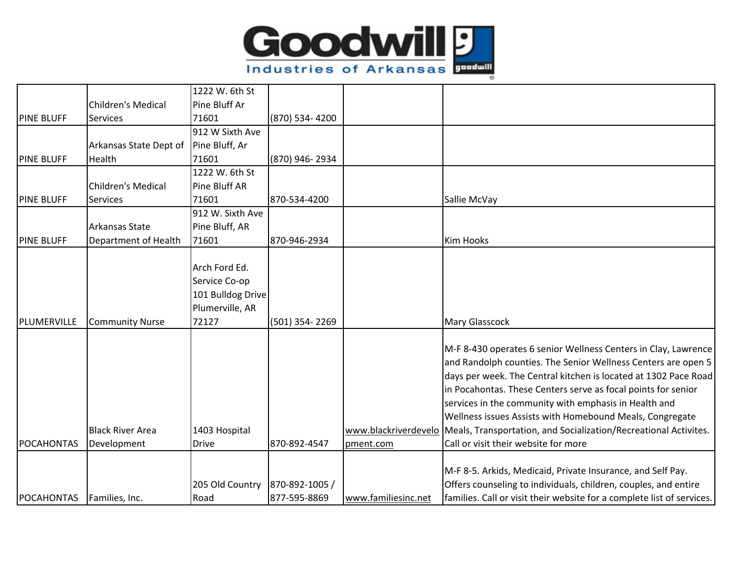

|                   |                           | 1222 W. 6th St    |                |                      |                                                                        |
|-------------------|---------------------------|-------------------|----------------|----------------------|------------------------------------------------------------------------|
|                   | <b>Children's Medical</b> | Pine Bluff Ar     |                |                      |                                                                        |
| <b>PINE BLUFF</b> | Services                  | 71601             | (870) 534-4200 |                      |                                                                        |
|                   |                           | 912 W Sixth Ave   |                |                      |                                                                        |
|                   | Arkansas State Dept of    | Pine Bluff, Ar    |                |                      |                                                                        |
| <b>PINE BLUFF</b> | Health                    | 71601             | (870) 946-2934 |                      |                                                                        |
|                   |                           | 1222 W. 6th St    |                |                      |                                                                        |
|                   | <b>Children's Medical</b> | Pine Bluff AR     |                |                      |                                                                        |
| <b>PINE BLUFF</b> | <b>Services</b>           | 71601             | 870-534-4200   |                      | Sallie McVay                                                           |
|                   |                           | 912 W. Sixth Ave  |                |                      |                                                                        |
|                   | Arkansas State            | Pine Bluff, AR    |                |                      |                                                                        |
| <b>PINE BLUFF</b> | Department of Health      | 71601             | 870-946-2934   |                      | <b>Kim Hooks</b>                                                       |
|                   |                           |                   |                |                      |                                                                        |
|                   |                           | Arch Ford Ed.     |                |                      |                                                                        |
|                   |                           | Service Co-op     |                |                      |                                                                        |
|                   |                           | 101 Bulldog Drive |                |                      |                                                                        |
|                   |                           | Plumerville, AR   |                |                      |                                                                        |
| PLUMERVILLE       | <b>Community Nurse</b>    | 72127             | (501) 354-2269 |                      | Mary Glasscock                                                         |
|                   |                           |                   |                |                      |                                                                        |
|                   |                           |                   |                |                      | M-F 8-430 operates 6 senior Wellness Centers in Clay, Lawrence         |
|                   |                           |                   |                |                      | and Randolph counties. The Senior Wellness Centers are open 5          |
|                   |                           |                   |                |                      | days per week. The Central kitchen is located at 1302 Pace Road        |
|                   |                           |                   |                |                      | in Pocahontas. These Centers serve as focal points for senior          |
|                   |                           |                   |                |                      | services in the community with emphasis in Health and                  |
|                   |                           |                   |                |                      | Wellness issues Assists with Homebound Meals, Congregate               |
|                   | <b>Black River Area</b>   | 1403 Hospital     |                | www.blackriverdevelo | Meals, Transportation, and Socialization/Recreational Activites.       |
| POCAHONTAS        | Development               | <b>Drive</b>      | 870-892-4547   | pment.com            | Call or visit their website for more                                   |
|                   |                           |                   |                |                      |                                                                        |
|                   |                           |                   |                |                      | M-F 8-5. Arkids, Medicaid, Private Insurance, and Self Pay.            |
|                   |                           | 205 Old Country   | 870-892-1005 / |                      | Offers counseling to individuals, children, couples, and entire        |
| POCAHONTAS        | Families, Inc.            | Road              | 877-595-8869   | www.familiesinc.net  | families. Call or visit their website for a complete list of services. |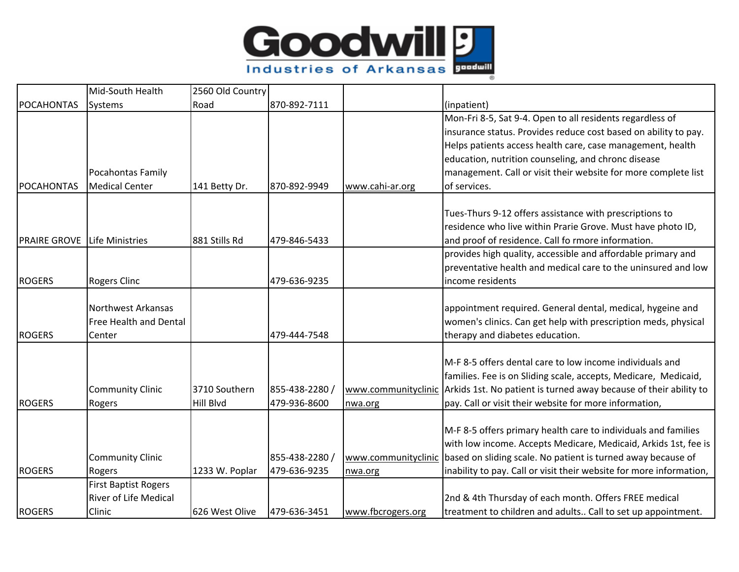

|                     | Mid-South Health             | 2560 Old Country |                |                   |                                                                                       |
|---------------------|------------------------------|------------------|----------------|-------------------|---------------------------------------------------------------------------------------|
| <b>POCAHONTAS</b>   | Systems                      | Road             | 870-892-7111   |                   | (inpatient)                                                                           |
|                     |                              |                  |                |                   | Mon-Fri 8-5, Sat 9-4. Open to all residents regardless of                             |
|                     |                              |                  |                |                   | insurance status. Provides reduce cost based on ability to pay.                       |
|                     |                              |                  |                |                   | Helps patients access health care, case management, health                            |
|                     |                              |                  |                |                   | education, nutrition counseling, and chronc disease                                   |
|                     | Pocahontas Family            |                  |                |                   | management. Call or visit their website for more complete list                        |
| <b>POCAHONTAS</b>   | <b>Medical Center</b>        | 141 Betty Dr.    | 870-892-9949   | www.cahi-ar.org   | of services.                                                                          |
|                     |                              |                  |                |                   |                                                                                       |
|                     |                              |                  |                |                   | Tues-Thurs 9-12 offers assistance with prescriptions to                               |
|                     |                              |                  |                |                   | residence who live within Prarie Grove. Must have photo ID,                           |
| <b>PRAIRE GROVE</b> | <b>Life Ministries</b>       | 881 Stills Rd    | 479-846-5433   |                   | and proof of residence. Call fo rmore information.                                    |
|                     |                              |                  |                |                   | provides high quality, accessible and affordable primary and                          |
|                     |                              |                  |                |                   | preventative health and medical care to the uninsured and low                         |
| <b>ROGERS</b>       | <b>Rogers Clinc</b>          |                  | 479-636-9235   |                   | income residents                                                                      |
|                     | <b>Northwest Arkansas</b>    |                  |                |                   | appointment required. General dental, medical, hygeine and                            |
|                     | Free Health and Dental       |                  |                |                   | women's clinics. Can get help with prescription meds, physical                        |
| <b>ROGERS</b>       | Center                       |                  | 479-444-7548   |                   | therapy and diabetes education.                                                       |
|                     |                              |                  |                |                   |                                                                                       |
|                     |                              |                  |                |                   | M-F 8-5 offers dental care to low income individuals and                              |
|                     |                              |                  |                |                   | families. Fee is on Sliding scale, accepts, Medicare, Medicaid,                       |
|                     | <b>Community Clinic</b>      | 3710 Southern    | 855-438-2280 / |                   | www.communityclinic Arkids 1st. No patient is turned away because of their ability to |
| <b>ROGERS</b>       | Rogers                       | Hill Blvd        | 479-936-8600   | nwa.org           | pay. Call or visit their website for more information,                                |
|                     |                              |                  |                |                   |                                                                                       |
|                     |                              |                  |                |                   | M-F 8-5 offers primary health care to individuals and families                        |
|                     |                              |                  |                |                   | with low income. Accepts Medicare, Medicaid, Arkids 1st, fee is                       |
|                     | <b>Community Clinic</b>      |                  | 855-438-2280 / |                   | www.communityclinic based on sliding scale. No patient is turned away because of      |
| <b>ROGERS</b>       | Rogers                       | 1233 W. Poplar   | 479-636-9235   | nwa.org           | inability to pay. Call or visit their website for more information,                   |
|                     | <b>First Baptist Rogers</b>  |                  |                |                   |                                                                                       |
|                     | <b>River of Life Medical</b> |                  |                |                   | 2nd & 4th Thursday of each month. Offers FREE medical                                 |
| <b>ROGERS</b>       | Clinic                       | 626 West Olive   | 479-636-3451   | www.fbcrogers.org | treatment to children and adults Call to set up appointment.                          |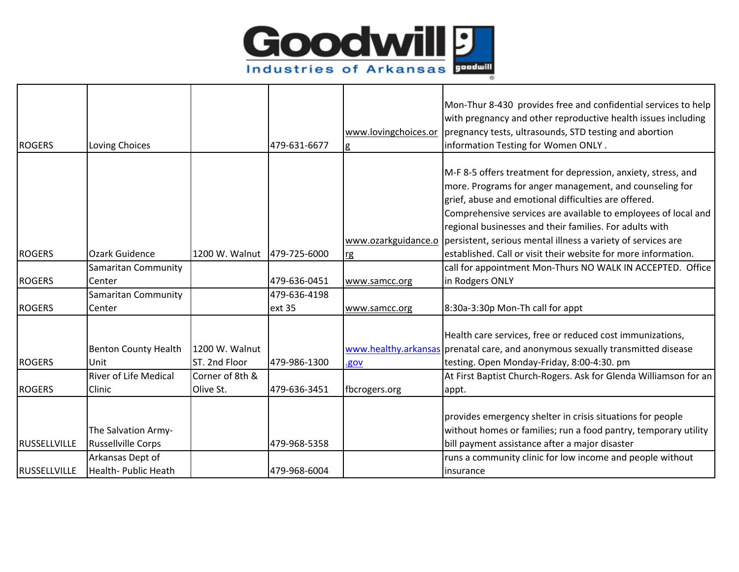

|                     |                                                  |                                 |              |                      | Mon-Thur 8-430 provides free and confidential services to help<br>with pregnancy and other reproductive health issues including                                                                                                                                                                               |
|---------------------|--------------------------------------------------|---------------------------------|--------------|----------------------|---------------------------------------------------------------------------------------------------------------------------------------------------------------------------------------------------------------------------------------------------------------------------------------------------------------|
|                     |                                                  |                                 |              | www.lovingchoices.or | pregnancy tests, ultrasounds, STD testing and abortion                                                                                                                                                                                                                                                        |
| <b>ROGERS</b>       | Loving Choices                                   |                                 | 479-631-6677 | g                    | information Testing for Women ONLY.                                                                                                                                                                                                                                                                           |
|                     |                                                  |                                 |              |                      | M-F 8-5 offers treatment for depression, anxiety, stress, and<br>more. Programs for anger management, and counseling for<br>grief, abuse and emotional difficulties are offered.<br>Comprehensive services are available to employees of local and<br>regional businesses and their families. For adults with |
|                     |                                                  |                                 |              |                      | www.ozarkguidance.o   persistent, serious mental illness a variety of services are                                                                                                                                                                                                                            |
| <b>ROGERS</b>       | <b>Ozark Guidence</b>                            | 1200 W. Walnut                  | 479-725-6000 | <b>rg</b>            | established. Call or visit their website for more information.                                                                                                                                                                                                                                                |
|                     | Samaritan Community                              |                                 |              |                      | call for appointment Mon-Thurs NO WALK IN ACCEPTED. Office                                                                                                                                                                                                                                                    |
| <b>ROGERS</b>       | Center                                           |                                 | 479-636-0451 | www.samcc.org        | in Rodgers ONLY                                                                                                                                                                                                                                                                                               |
|                     | Samaritan Community                              |                                 | 479-636-4198 |                      |                                                                                                                                                                                                                                                                                                               |
| <b>ROGERS</b>       | Center                                           |                                 | ext 35       | www.samcc.org        | 8:30a-3:30p Mon-Th call for appt                                                                                                                                                                                                                                                                              |
| <b>ROGERS</b>       | <b>Benton County Health</b><br>Unit              | 1200 W. Walnut<br>ST. 2nd Floor | 479-986-1300 | .gov                 | Health care services, free or reduced cost immunizations,<br>www.healthy.arkansas prenatal care, and anonymous sexually transmitted disease<br>testing. Open Monday-Friday, 8:00-4:30. pm                                                                                                                     |
|                     | <b>River of Life Medical</b>                     | Corner of 8th &                 |              |                      | At First Baptist Church-Rogers. Ask for Glenda Williamson for an                                                                                                                                                                                                                                              |
| <b>ROGERS</b>       | Clinic                                           | Olive St.                       | 479-636-3451 | fbcrogers.org        | appt.                                                                                                                                                                                                                                                                                                         |
| <b>RUSSELLVILLE</b> | The Salvation Army-<br><b>Russellville Corps</b> |                                 | 479-968-5358 |                      | provides emergency shelter in crisis situations for people<br>without homes or families; run a food pantry, temporary utility<br>bill payment assistance after a major disaster                                                                                                                               |
|                     | Arkansas Dept of                                 |                                 |              |                      | runs a community clinic for low income and people without                                                                                                                                                                                                                                                     |
| <b>RUSSELLVILLE</b> | Health- Public Heath                             |                                 | 479-968-6004 |                      | linsurance                                                                                                                                                                                                                                                                                                    |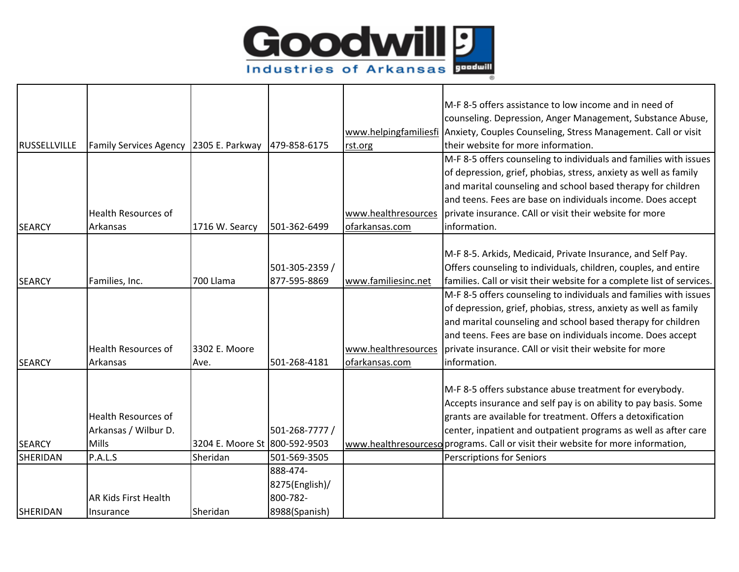

|                 |                               |                               |                |                     | M-F 8-5 offers assistance to low income and in need of                              |
|-----------------|-------------------------------|-------------------------------|----------------|---------------------|-------------------------------------------------------------------------------------|
|                 |                               |                               |                |                     | counseling. Depression, Anger Management, Substance Abuse,                          |
|                 |                               |                               |                |                     | www.helpingfamiliesfi Anxiety, Couples Counseling, Stress Management. Call or visit |
| RUSSELLVILLE    | <b>Family Services Agency</b> | 2305 E. Parkway               | 479-858-6175   | rst.org             | their website for more information.                                                 |
|                 |                               |                               |                |                     | M-F 8-5 offers counseling to individuals and families with issues                   |
|                 |                               |                               |                |                     | of depression, grief, phobias, stress, anxiety as well as family                    |
|                 |                               |                               |                |                     | and marital counseling and school based therapy for children                        |
|                 |                               |                               |                |                     | and teens. Fees are base on individuals income. Does accept                         |
|                 | <b>Health Resources of</b>    |                               |                |                     | www.healthresources   private insurance. CAII or visit their website for more       |
| <b>SEARCY</b>   | Arkansas                      | 1716 W. Searcy                | 501-362-6499   | ofarkansas.com      | information.                                                                        |
|                 |                               |                               |                |                     |                                                                                     |
|                 |                               |                               |                |                     | M-F 8-5. Arkids, Medicaid, Private Insurance, and Self Pay.                         |
|                 |                               |                               | 501-305-2359 / |                     | Offers counseling to individuals, children, couples, and entire                     |
| <b>SEARCY</b>   | Families, Inc.                | 700 Llama                     | 877-595-8869   | www.familiesinc.net | families. Call or visit their website for a complete list of services.              |
|                 |                               |                               |                |                     | M-F 8-5 offers counseling to individuals and families with issues                   |
|                 |                               |                               |                |                     | of depression, grief, phobias, stress, anxiety as well as family                    |
|                 |                               |                               |                |                     | and marital counseling and school based therapy for children                        |
|                 |                               |                               |                |                     | and teens. Fees are base on individuals income. Does accept                         |
|                 | <b>Health Resources of</b>    | 3302 E. Moore                 |                | www.healthresources | private insurance. CAll or visit their website for more                             |
| <b>SEARCY</b>   | Arkansas                      | Ave.                          | 501-268-4181   | ofarkansas.com      | information.                                                                        |
|                 |                               |                               |                |                     |                                                                                     |
|                 |                               |                               |                |                     | M-F 8-5 offers substance abuse treatment for everybody.                             |
|                 |                               |                               |                |                     | Accepts insurance and self pay is on ability to pay basis. Some                     |
|                 | <b>Health Resources of</b>    |                               |                |                     | grants are available for treatment. Offers a detoxification                         |
|                 | Arkansas / Wilbur D.          |                               | 501-268-7777 / |                     | center, inpatient and outpatient programs as well as after care                     |
| <b>SEARCY</b>   | <b>Mills</b>                  | 3204 E. Moore St 800-592-9503 |                |                     | www.healthresourceso programs. Call or visit their website for more information,    |
| <b>SHERIDAN</b> | P.A.L.S                       | Sheridan                      | 501-569-3505   |                     | Perscriptions for Seniors                                                           |
|                 |                               |                               | 888-474-       |                     |                                                                                     |
|                 |                               |                               | 8275(English)/ |                     |                                                                                     |
|                 | AR Kids First Health          |                               | 800-782-       |                     |                                                                                     |
| <b>SHERIDAN</b> | Insurance                     | Sheridan                      | 8988(Spanish)  |                     |                                                                                     |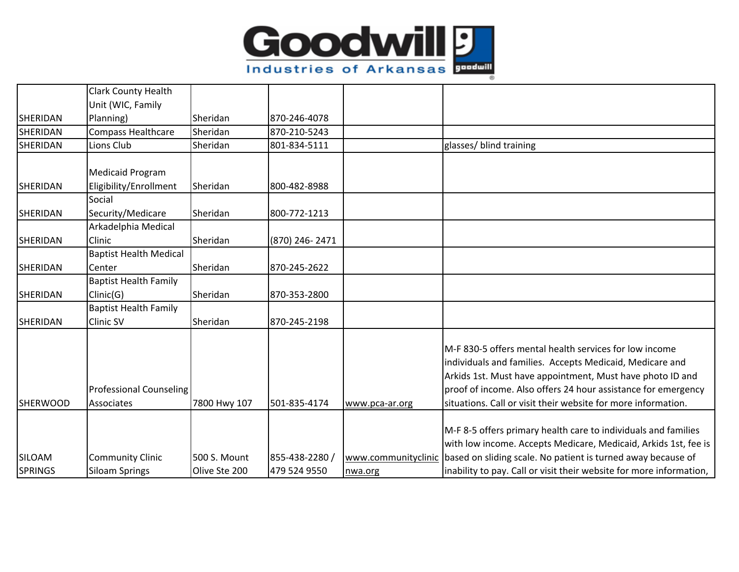

|                 | Clark County Health            |                     |                |                     |                                                                     |
|-----------------|--------------------------------|---------------------|----------------|---------------------|---------------------------------------------------------------------|
|                 | Unit (WIC, Family              |                     |                |                     |                                                                     |
| <b>SHERIDAN</b> | Planning)                      | Sheridan            | 870-246-4078   |                     |                                                                     |
| <b>SHERIDAN</b> | Compass Healthcare             | Sheridan            | 870-210-5243   |                     |                                                                     |
| <b>SHERIDAN</b> | Lions Club                     | Sheridan            | 801-834-5111   |                     | glasses/ blind training                                             |
|                 |                                |                     |                |                     |                                                                     |
|                 | <b>Medicaid Program</b>        |                     |                |                     |                                                                     |
| <b>SHERIDAN</b> | Eligibility/Enrollment         | Sheridan            | 800-482-8988   |                     |                                                                     |
|                 | Social                         |                     |                |                     |                                                                     |
| SHERIDAN        | Security/Medicare              | Sheridan            | 800-772-1213   |                     |                                                                     |
|                 | Arkadelphia Medical            |                     |                |                     |                                                                     |
| <b>SHERIDAN</b> | Clinic                         | Sheridan            | (870) 246-2471 |                     |                                                                     |
|                 | <b>Baptist Health Medical</b>  |                     |                |                     |                                                                     |
| <b>SHERIDAN</b> | Center                         | Sheridan            | 870-245-2622   |                     |                                                                     |
|                 | <b>Baptist Health Family</b>   |                     |                |                     |                                                                     |
| <b>SHERIDAN</b> | Clinic(G)                      | Sheridan            | 870-353-2800   |                     |                                                                     |
|                 | <b>Baptist Health Family</b>   |                     |                |                     |                                                                     |
| <b>SHERIDAN</b> | <b>Clinic SV</b>               | Sheridan            | 870-245-2198   |                     |                                                                     |
|                 |                                |                     |                |                     |                                                                     |
|                 |                                |                     |                |                     | M-F 830-5 offers mental health services for low income              |
|                 |                                |                     |                |                     | individuals and families. Accepts Medicaid, Medicare and            |
|                 |                                |                     |                |                     | Arkids 1st. Must have appointment, Must have photo ID and           |
|                 | <b>Professional Counseling</b> |                     |                |                     | proof of income. Also offers 24 hour assistance for emergency       |
| <b>SHERWOOD</b> | Associates                     | 7800 Hwy 107        | 501-835-4174   | www.pca-ar.org      | situations. Call or visit their website for more information.       |
|                 |                                |                     |                |                     |                                                                     |
|                 |                                |                     |                |                     | M-F 8-5 offers primary health care to individuals and families      |
|                 |                                |                     |                |                     | with low income. Accepts Medicare, Medicaid, Arkids 1st, fee is     |
| SILOAM          | <b>Community Clinic</b>        | <b>500 S. Mount</b> | 855-438-2280 / | www.communityclinic | based on sliding scale. No patient is turned away because of        |
| <b>SPRINGS</b>  | <b>Siloam Springs</b>          | Olive Ste 200       | 479 524 9550   | nwa.org             | inability to pay. Call or visit their website for more information, |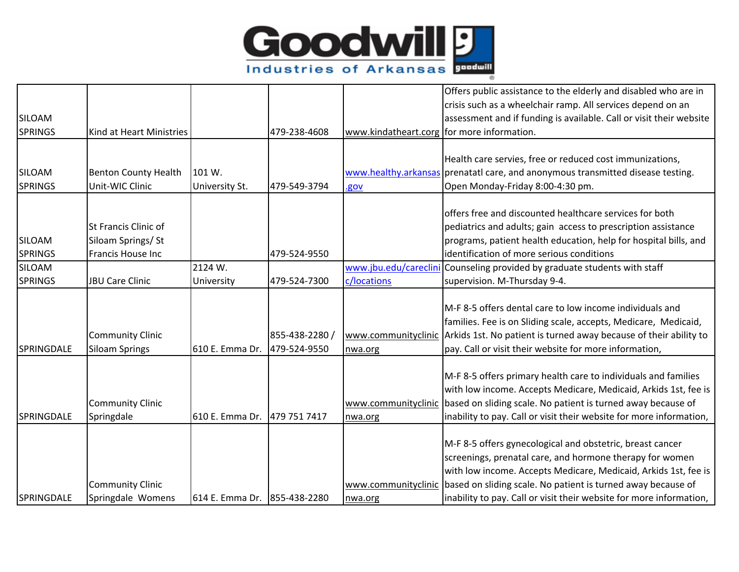

|                |                             |                              |                |                                            | Offers public assistance to the elderly and disabled who are in<br>crisis such as a wheelchair ramp. All services depend on an |
|----------------|-----------------------------|------------------------------|----------------|--------------------------------------------|--------------------------------------------------------------------------------------------------------------------------------|
| <b>SILOAM</b>  |                             |                              |                |                                            | assessment and if funding is available. Call or visit their website                                                            |
| <b>SPRINGS</b> | Kind at Heart Ministries    |                              | 479-238-4608   | www.kindatheart.corg for more information. |                                                                                                                                |
|                |                             |                              |                |                                            |                                                                                                                                |
|                |                             |                              |                |                                            | Health care servies, free or reduced cost immunizations,                                                                       |
| SILOAM         | <b>Benton County Health</b> | 101 W.                       |                |                                            | www.healthy.arkansas prenatatl care, and anonymous transmitted disease testing.                                                |
| <b>SPRINGS</b> | Unit-WIC Clinic             | University St.               | 479-549-3794   | <u>.gov</u>                                | Open Monday-Friday 8:00-4:30 pm.                                                                                               |
|                |                             |                              |                |                                            |                                                                                                                                |
|                |                             |                              |                |                                            | offers free and discounted healthcare services for both                                                                        |
|                | St Francis Clinic of        |                              |                |                                            | pediatrics and adults; gain access to prescription assistance                                                                  |
| SILOAM         | Siloam Springs/ St          |                              |                |                                            | programs, patient health education, help for hospital bills, and                                                               |
| <b>SPRINGS</b> | Francis House Inc           |                              | 479-524-9550   |                                            | identification of more serious conditions                                                                                      |
| SILOAM         |                             | 2124 W.                      |                |                                            | www.jbu.edu/careclini Counseling provided by graduate students with staff                                                      |
| <b>SPRINGS</b> | <b>JBU Care Clinic</b>      | University                   | 479-524-7300   | c/locations                                | supervision. M-Thursday 9-4.                                                                                                   |
|                |                             |                              |                |                                            | IM-F 8-5 offers dental care to low income individuals and                                                                      |
|                |                             |                              |                |                                            |                                                                                                                                |
|                |                             |                              |                |                                            | families. Fee is on Sliding scale, accepts, Medicare, Medicaid,                                                                |
|                | <b>Community Clinic</b>     |                              | 855-438-2280 / |                                            | www.communityclinic Arkids 1st. No patient is turned away because of their ability to                                          |
| SPRINGDALE     | <b>Siloam Springs</b>       | 610 E. Emma Dr.              | 479-524-9550   | nwa.org                                    | pay. Call or visit their website for more information,                                                                         |
|                |                             |                              |                |                                            | M-F 8-5 offers primary health care to individuals and families                                                                 |
|                |                             |                              |                |                                            | with low income. Accepts Medicare, Medicaid, Arkids 1st, fee is                                                                |
|                | <b>Community Clinic</b>     |                              |                |                                            | www.communityclinic based on sliding scale. No patient is turned away because of                                               |
| SPRINGDALE     | Springdale                  | 610 E. Emma Dr.              | 479 751 7417   | nwa.org                                    | inability to pay. Call or visit their website for more information,                                                            |
|                |                             |                              |                |                                            |                                                                                                                                |
|                |                             |                              |                |                                            | M-F 8-5 offers gynecological and obstetric, breast cancer                                                                      |
|                |                             |                              |                |                                            | screenings, prenatal care, and hormone therapy for women                                                                       |
|                |                             |                              |                |                                            | with low income. Accepts Medicare, Medicaid, Arkids 1st, fee is                                                                |
|                | <b>Community Clinic</b>     |                              |                |                                            | www.communityclinic based on sliding scale. No patient is turned away because of                                               |
| SPRINGDALE     | Springdale Womens           | 614 E. Emma Dr. 855-438-2280 |                | nwa.org                                    | inability to pay. Call or visit their website for more information,                                                            |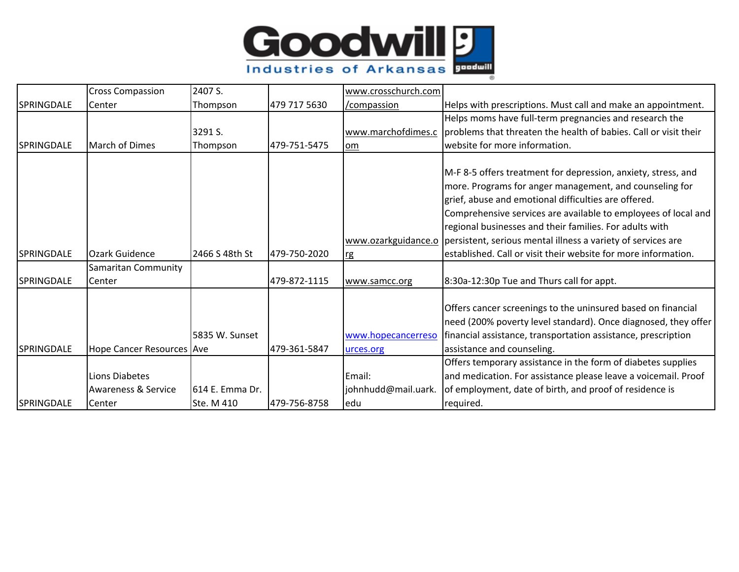

|                   | <b>Cross Compassion</b>        | 2407 S.         |              | www.crosschurch.com             |                                                                                                                                                                                                                                                                                                                                                                                                   |
|-------------------|--------------------------------|-----------------|--------------|---------------------------------|---------------------------------------------------------------------------------------------------------------------------------------------------------------------------------------------------------------------------------------------------------------------------------------------------------------------------------------------------------------------------------------------------|
| <b>SPRINGDALE</b> | Center                         | Thompson        | 479 717 5630 | /compassion                     | Helps with prescriptions. Must call and make an appointment.                                                                                                                                                                                                                                                                                                                                      |
|                   |                                |                 |              |                                 | Helps moms have full-term pregnancies and research the                                                                                                                                                                                                                                                                                                                                            |
|                   |                                | 3291 S.         |              | www.marchofdimes.c              | problems that threaten the health of babies. Call or visit their                                                                                                                                                                                                                                                                                                                                  |
| <b>SPRINGDALE</b> | March of Dimes                 | Thompson        | 479-751-5475 | lom                             | website for more information.                                                                                                                                                                                                                                                                                                                                                                     |
|                   |                                |                 |              |                                 | M-F 8-5 offers treatment for depression, anxiety, stress, and<br>more. Programs for anger management, and counseling for<br>grief, abuse and emotional difficulties are offered.<br>Comprehensive services are available to employees of local and<br>regional businesses and their families. For adults with<br>www.ozarkguidance.o persistent, serious mental illness a variety of services are |
| SPRINGDALE        | Ozark Guidence                 | 2466 S 48th St  | 479-750-2020 | rg                              | established. Call or visit their website for more information.                                                                                                                                                                                                                                                                                                                                    |
| <b>SPRINGDALE</b> | Samaritan Community<br>Center  |                 | 479-872-1115 | www.samcc.org                   | 8:30a-12:30p Tue and Thurs call for appt.                                                                                                                                                                                                                                                                                                                                                         |
| SPRINGDALE        | Hope Cancer Resources Ave      | 5835 W. Sunset  | 479-361-5847 | www.hopecancerreso<br>urces.org | Offers cancer screenings to the uninsured based on financial<br>need (200% poverty level standard). Once diagnosed, they offer<br>financial assistance, transportation assistance, prescription<br>assistance and counseling.                                                                                                                                                                     |
|                   |                                |                 |              |                                 | Offers temporary assistance in the form of diabetes supplies                                                                                                                                                                                                                                                                                                                                      |
|                   | <b>Lions Diabetes</b>          |                 |              | Email:                          | and medication. For assistance please leave a voicemail. Proof                                                                                                                                                                                                                                                                                                                                    |
|                   | <b>Awareness &amp; Service</b> | 614 E. Emma Dr. |              | johnhudd@mail.uark.             | of employment, date of birth, and proof of residence is                                                                                                                                                                                                                                                                                                                                           |
| <b>SPRINGDALE</b> | Center                         | Ste. M 410      | 479-756-8758 | edu                             | required.                                                                                                                                                                                                                                                                                                                                                                                         |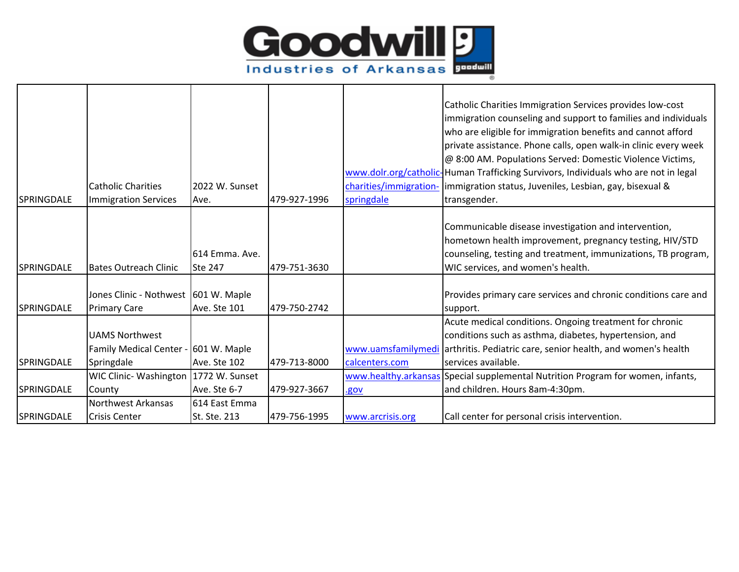

|                   |                                         |                     |              |                    | Catholic Charities Immigration Services provides low-cost                           |
|-------------------|-----------------------------------------|---------------------|--------------|--------------------|-------------------------------------------------------------------------------------|
|                   |                                         |                     |              |                    | immigration counseling and support to families and individuals                      |
|                   |                                         |                     |              |                    | who are eligible for immigration benefits and cannot afford                         |
|                   |                                         |                     |              |                    | private assistance. Phone calls, open walk-in clinic every week                     |
|                   |                                         |                     |              |                    | @ 8:00 AM. Populations Served: Domestic Violence Victims,                           |
|                   |                                         |                     |              |                    | www.dolr.org/catholic-Human Trafficking Survivors, Individuals who are not in legal |
|                   | <b>Catholic Charities</b>               | 2022 W. Sunset      |              |                    | charities/immigration- immigration status, Juveniles, Lesbian, gay, bisexual &      |
| <b>SPRINGDALE</b> | <b>Immigration Services</b>             | Ave.                | 479-927-1996 | springdale         | transgender.                                                                        |
|                   |                                         |                     |              |                    |                                                                                     |
|                   |                                         |                     |              |                    | Communicable disease investigation and intervention,                                |
|                   |                                         |                     |              |                    | hometown health improvement, pregnancy testing, HIV/STD                             |
|                   |                                         | 614 Emma. Ave.      |              |                    | counseling, testing and treatment, immunizations, TB program,                       |
| <b>SPRINGDALE</b> | <b>Bates Outreach Clinic</b>            | <b>Ste 247</b>      | 479-751-3630 |                    | WIC services, and women's health.                                                   |
|                   |                                         |                     |              |                    |                                                                                     |
|                   | Jones Clinic - Nothwest 601 W. Maple    |                     |              |                    | Provides primary care services and chronic conditions care and                      |
| <b>SPRINGDALE</b> | <b>Primary Care</b>                     | Ave. Ste 101        | 479-750-2742 |                    | support.                                                                            |
|                   |                                         |                     |              |                    | Acute medical conditions. Ongoing treatment for chronic                             |
|                   | <b>UAMS Northwest</b>                   |                     |              |                    | conditions such as asthma, diabetes, hypertension, and                              |
|                   | Family Medical Center - 601 W. Maple    |                     |              | www.uamsfamilymedi | arthritis. Pediatric care, senior health, and women's health                        |
| <b>SPRINGDALE</b> | Springdale                              | Ave. Ste 102        | 479-713-8000 | calcenters.com     | services available.                                                                 |
|                   | WIC Clinic- Washington   1772 W. Sunset |                     |              |                    | www.healthy.arkansas Special supplemental Nutrition Program for women, infants,     |
| <b>SPRINGDALE</b> | County                                  | Ave. Ste 6-7        | 479-927-3667 | .gov               | and children. Hours 8am-4:30pm.                                                     |
|                   | Northwest Arkansas                      | 614 East Emma       |              |                    |                                                                                     |
| <b>SPRINGDALE</b> | <b>Crisis Center</b>                    | <b>St. Ste. 213</b> | 479-756-1995 | www.arcrisis.org   | Call center for personal crisis intervention.                                       |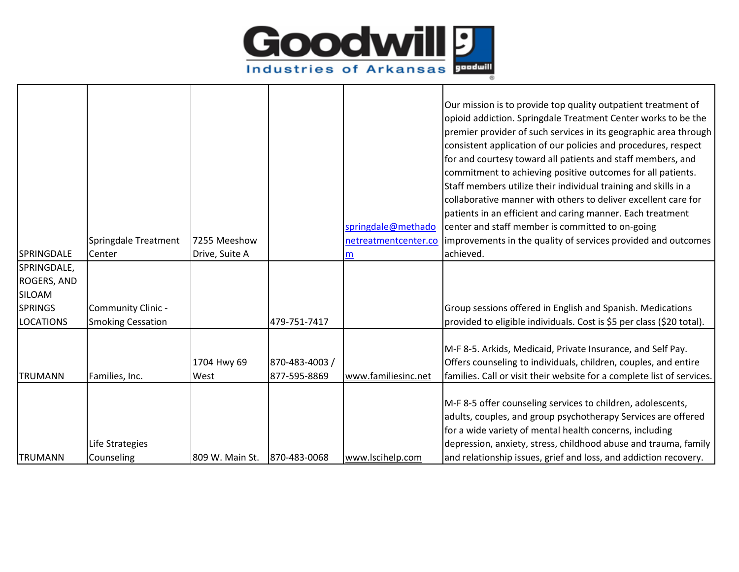

|                  |                          |                 |                |                      | Our mission is to provide top quality outpatient treatment of          |
|------------------|--------------------------|-----------------|----------------|----------------------|------------------------------------------------------------------------|
|                  |                          |                 |                |                      | opioid addiction. Springdale Treatment Center works to be the          |
|                  |                          |                 |                |                      | premier provider of such services in its geographic area through       |
|                  |                          |                 |                |                      | consistent application of our policies and procedures, respect         |
|                  |                          |                 |                |                      | for and courtesy toward all patients and staff members, and            |
|                  |                          |                 |                |                      | commitment to achieving positive outcomes for all patients.            |
|                  |                          |                 |                |                      | Staff members utilize their individual training and skills in a        |
|                  |                          |                 |                |                      | collaborative manner with others to deliver excellent care for         |
|                  |                          |                 |                |                      | patients in an efficient and caring manner. Each treatment             |
|                  |                          |                 |                | springdale@methado   | center and staff member is committed to on-going                       |
|                  | Springdale Treatment     | 7255 Meeshow    |                | netreatmentcenter.co | improvements in the quality of services provided and outcomes          |
| SPRINGDALE       | Center                   | Drive, Suite A  |                | m                    | achieved.                                                              |
| SPRINGDALE,      |                          |                 |                |                      |                                                                        |
| ROGERS, AND      |                          |                 |                |                      |                                                                        |
| SILOAM           |                          |                 |                |                      |                                                                        |
| <b>SPRINGS</b>   | Community Clinic -       |                 |                |                      | Group sessions offered in English and Spanish. Medications             |
| <b>LOCATIONS</b> | <b>Smoking Cessation</b> |                 | 479-751-7417   |                      | provided to eligible individuals. Cost is \$5 per class (\$20 total).  |
|                  |                          |                 |                |                      | M-F 8-5. Arkids, Medicaid, Private Insurance, and Self Pay.            |
|                  |                          | 1704 Hwy 69     | 870-483-4003 / |                      | Offers counseling to individuals, children, couples, and entire        |
| <b>TRUMANN</b>   | Families, Inc.           | West            | 877-595-8869   | www.familiesinc.net  | families. Call or visit their website for a complete list of services. |
|                  |                          |                 |                |                      |                                                                        |
|                  |                          |                 |                |                      | M-F 8-5 offer counseling services to children, adolescents,            |
|                  |                          |                 |                |                      | adults, couples, and group psychotherapy Services are offered          |
|                  |                          |                 |                |                      | for a wide variety of mental health concerns, including                |
|                  | Life Strategies          |                 |                |                      | depression, anxiety, stress, childhood abuse and trauma, family        |
| <b>TRUMANN</b>   | Counseling               | 809 W. Main St. | 870-483-0068   | www.lscihelp.com     | and relationship issues, grief and loss, and addiction recovery.       |